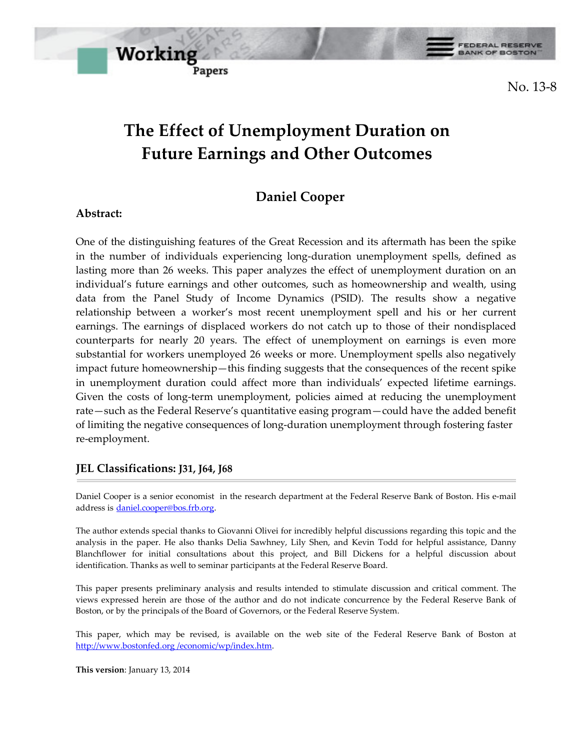

No. 13-8

# **The Effect of Unemployment Duration on Future Earnings and Other Outcomes**

## **Daniel Cooper**

#### **Abstract:**

One of the distinguishing features of the Great Recession and its aftermath has been the spike in the number of individuals experiencing long-duration unemployment spells, defined as lasting more than 26 weeks. This paper analyzes the effect of unemployment duration on an individual's future earnings and other outcomes, such as homeownership and wealth, using data from the Panel Study of Income Dynamics (PSID). The results show a negative relationship between a worker's most recent unemployment spell and his or her current earnings. The earnings of displaced workers do not catch up to those of their nondisplaced counterparts for nearly 20 years. The effect of unemployment on earnings is even more substantial for workers unemployed 26 weeks or more. Unemployment spells also negatively impact future homeownership—this finding suggests that the consequences of the recent spike in unemployment duration could affect more than individuals' expected lifetime earnings. Given the costs of long-term unemployment, policies aimed at reducing the unemployment rate—such as the Federal Reserve's quantitative easing program—could have the added benefit of limiting the negative consequences of long-duration unemployment through fostering faster re-employment.

#### **JEL Classifications: J31, J64, J68**

Daniel Cooper is a senior economist in the research department at the Federal Reserve Bank of Boston. His e-mail address is daniel.cooper@bos.frb.org.

The author extends special thanks to Giovanni Olivei for incredibly helpful discussions regarding this topic and the analysis in the paper. He also thanks Delia Sawhney, Lily Shen, and Kevin Todd for helpful assistance, Danny Blanchflower for initial consultations about this project, and Bill Dickens for a helpful discussion about identification. Thanks as well to seminar participants at the Federal Reserve Board.

This paper presents preliminary analysis and results intended to stimulate discussion and critical comment. The views expressed herein are those of the author and do not indicate concurrence by the Federal Reserve Bank of Boston, or by the principals of the Board of Governors, or the Federal Reserve System.

This paper, which may be revised, is available on the web site of the Federal Reserve Bank of Boston at http://www.bostonfed.org /economic/wp/index.htm.

**This version**: January 13, 2014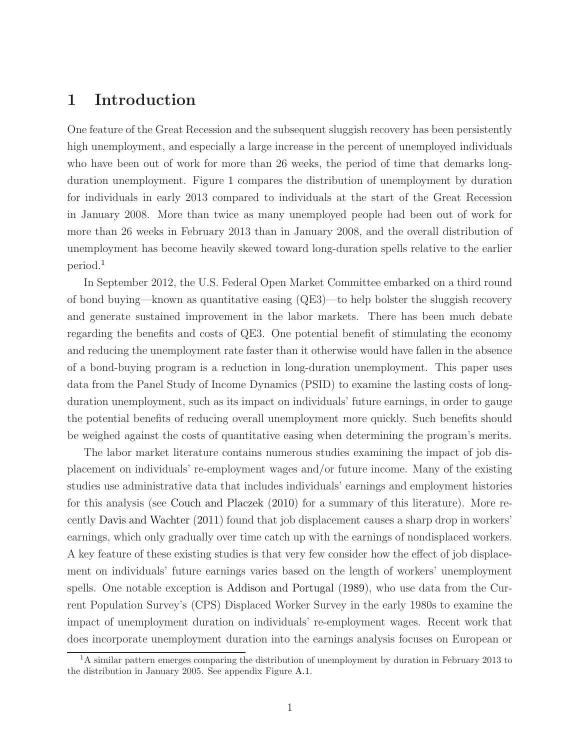## 1 Introduction

One feature of the Great Recession and the subsequent sluggish recovery has been persistently high unemployment, and especially a large increase in the percent of unemployed individuals who have been out of work for more than 26 weeks, the period of time that demarks longduration unemployment. Figure [1](#page-23-0) compares the distribution of unemployment by duration for individuals in early 2013 compared to individuals at the start of the Great Recession in January 2008. More than twice as many unemployed people had been out of work for more than 26 weeks in February 2013 than in January 2008, and the overall distribution of unemployment has become heavily skewed toward long-duration spells relative to the earlier period.<sup>1</sup>

In September 2012, the U.S. Federal Open Market Committee embarked on a third round of bond buying—known as quantitative easing (QE3)—to help bolster the sluggish recovery and generate sustained improvement in the labor markets. There has been much debate regarding the benefits and costs of QE3. One potential benefit of stimulating the economy and reducing the unemployment rate faster than it otherwise would have fallen in the absence of a bond-buying program is a reduction in long-duration unemployment. This paper uses data from the Panel Study of Income Dynamics (PSID) to examine the lasting costs of longduration unemployment, such as its impact on individuals' future earnings, in order to gauge the potential benefits of reducing overall unemployment more quickly. Such benefits should be weighed against the costs of quantitative easing when determining the program's merits.

The labor market literature contains numerous studies examining the impact of job displacement on individuals' re-employment wages and/or future income. Many of the existing studies use administrative data that includes individuals' earnings and employment histories for this analysis (see [Couch and Placzek](#page-21-0) [\(2010\)](#page-21-0) for a summary of this literature). More recently [Davis and Wachter](#page-21-1) [\(2011\)](#page-21-1) found that job displacement causes a sharp drop in workers' earnings, which only gradually over time catch up with the earnings of nondisplaced workers. A key feature of these existing studies is that very few consider how the effect of job displacement on individuals' future earnings varies based on the length of workers' unemployment spells. One notable exception is [Addison and Portugal](#page-21-2) [\(1989\)](#page-21-2), who use data from the Current Population Survey's (CPS) Displaced Worker Survey in the early 1980s to examine the impact of unemployment duration on individuals' re-employment wages. Recent work that does incorporate unemployment duration into the earnings analysis focuses on European or

 $1<sup>1</sup>A$  similar pattern emerges comparing the distribution of unemployment by duration in February 2013 to the distribution in January 2005. See appendix Figure [A.1.](#page-32-0)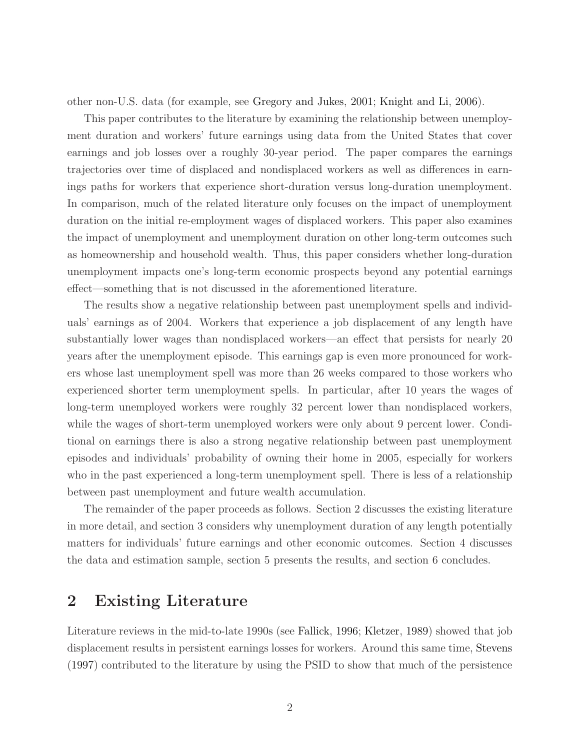other non-U.S. data (for example, see [Gregory and Jukes](#page-21-3), [2001;](#page-21-3) [Knight and Li,](#page-21-4) [2006](#page-21-4)).

This paper contributes to the literature by examining the relationship between unemployment duration and workers' future earnings using data from the United States that cover earnings and job losses over a roughly 30-year period. The paper compares the earnings trajectories over time of displaced and nondisplaced workers as well as differences in earnings paths for workers that experience short-duration versus long-duration unemployment. In comparison, much of the related literature only focuses on the impact of unemployment duration on the initial re-employment wages of displaced workers. This paper also examines the impact of unemployment and unemployment duration on other long-term outcomes such as homeownership and household wealth. Thus, this paper considers whether long-duration unemployment impacts one's long-term economic prospects beyond any potential earnings effect—something that is not discussed in the aforementioned literature.

The results show a negative relationship between past unemployment spells and individuals' earnings as of 2004. Workers that experience a job displacement of any length have substantially lower wages than nondisplaced workers—an effect that persists for nearly 20 years after the unemployment episode. This earnings gap is even more pronounced for workers whose last unemployment spell was more than 26 weeks compared to those workers who experienced shorter term unemployment spells. In particular, after 10 years the wages of long-term unemployed workers were roughly 32 percent lower than nondisplaced workers, while the wages of short-term unemployed workers were only about 9 percent lower. Conditional on earnings there is also a strong negative relationship between past unemployment episodes and individuals' probability of owning their home in 2005, especially for workers who in the past experienced a long-term unemployment spell. There is less of a relationship between past unemployment and future wealth accumulation.

The remainder of the paper proceeds as follows. Section 2 discusses the existing literature in more detail, and section 3 considers why unemployment duration of any length potentially matters for individuals' future earnings and other economic outcomes. Section 4 discusses the data and estimation sample, section 5 presents the results, and section 6 concludes.

## 2 Existing Literature

Literature reviews in the mid-to-late 1990s (see [Fallick,](#page-21-5) [1996](#page-21-5); [Kletzer,](#page-21-6) [1989](#page-21-6)) showed that job displacement results in persistent earnings losses for workers. Around this same time, [Stevens](#page-22-0) [\(1997](#page-22-0)) contributed to the literature by using the PSID to show that much of the persistence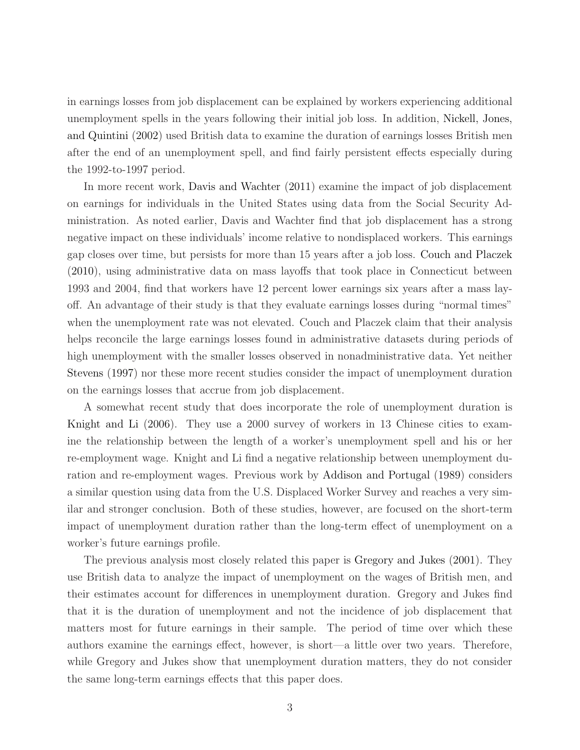in earnings losses from job displacement can be explained by workers experiencing additional unemployme[nt spells in the years following their initial job loss. In addition,](#page-21-7) Nickell, Jones, and Quintini [\(2002](#page-21-7)) used British data to examine the duration of earnings losses British men after the end of an unemployment spell, and find fairly persistent effects especially during the 1992-to-1997 period.

In more recent work, [Davis and Wachter](#page-21-1) [\(2011](#page-21-1)) examine the impact of job displacement on earnings for individuals in the United States using data from the Social Security Administration. As noted earlier, Davis and Wachter find that job displacement has a strong negative impact on these individuals' income relative to nondisplaced workers. This earnings gap closes over time, but persists for more than 15 years after a job loss. [Couch and Placzek](#page-21-0) [\(2010](#page-21-0)), using administrative data on mass layoffs that took place in Connecticut between 1993 and 2004, find that workers have 12 percent lower earnings six years after a mass layoff. An advantage of their study is that they evaluate earnings losses during "normal times" when the unemployment rate was not elevated. Couch and Placzek claim that their analysis helps reconcile the large earnings losses found in administrative datasets during periods of high unemployment with the smaller losses observed in nonadministrative data. Yet neither [Stevens](#page-22-0) [\(1997](#page-22-0)) nor these more recent studies consider the impact of unemployment duration on the earnings losses that accrue from job displacement.

A somewhat recent study that does incorporate the role of unemployment duration is [Knight and Li](#page-21-4) [\(2006\)](#page-21-4). They use a 2000 survey of workers in 13 Chinese cities to examine the relationship between the length of a worker's unemployment spell and his or her re-employment wage. Knight and Li find a negative relationship between unemployment duration and re-employment wages. Previous work by [Addison and Portugal](#page-21-2) [\(1989](#page-21-2)) considers a similar question using data from the U.S. Displaced Worker Survey and reaches a very similar and stronger conclusion. Both of these studies, however, are focused on the short-term impact of unemployment duration rather than the long-term effect of unemployment on a worker's future earnings profile.

The previous analysis most closely related this paper is [Gregory and Jukes](#page-21-3) [\(2001\)](#page-21-3). They use British data to analyze the impact of unemployment on the wages of British men, and their estimates account for differences in unemployment duration. Gregory and Jukes find that it is the duration of unemployment and not the incidence of job displacement that matters most for future earnings in their sample. The period of time over which these authors examine the earnings effect, however, is short—a little over two years. Therefore, while Gregory and Jukes show that unemployment duration matters, they do not consider the same long-term earnings effects that this paper does.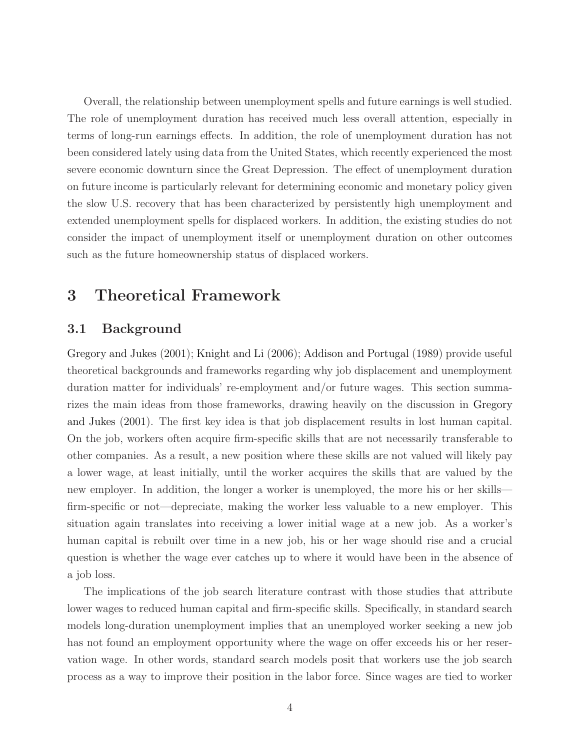Overall, the relationship between unemployment spells and future earnings is well studied. The role of unemployment duration has received much less overall attention, especially in terms of long-run earnings effects. In addition, the role of unemployment duration has not been considered lately using data from the United States, which recently experienced the most severe economic downturn since the Great Depression. The effect of unemployment duration on future income is particularly relevant for determining economic and monetary policy given the slow U.S. recovery that has been characterized by persistently high unemployment and extended unemployment spells for displaced workers. In addition, the existing studies do not consider the impact of unemployment itself or unemployment duration on other outcomes such as the future homeownership status of displaced workers.

## 3 Theoretical Framework

#### 3.1 Background

Gregory and Jukes [\(2001\)](#page-21-3); [Knight and Li](#page-21-4) [\(2006\)](#page-21-4); [Addison and Portugal](#page-21-2) [\(1989](#page-21-2)) provide useful theoretical backgrounds and frameworks regarding why job displacement and unemployment duration matter for individuals' re-employment and/or future wages. This section summarizes the [main ideas from those frameworks, drawing heavily on the discussion in](#page-21-3) Gregory and Jukes [\(2001](#page-21-3)). The first key idea is that job displacement results in lost human capital. On the job, workers often acquire firm-specific skills that are not necessarily transferable to other companies. As a result, a new position where these skills are not valued will likely pay a lower wage, at least initially, until the worker acquires the skills that are valued by the new employer. In addition, the longer a worker is unemployed, the more his or her skills firm-specific or not—depreciate, making the worker less valuable to a new employer. This situation again translates into receiving a lower initial wage at a new job. As a worker's human capital is rebuilt over time in a new job, his or her wage should rise and a crucial question is whether the wage ever catches up to where it would have been in the absence of a job loss.

The implications of the job search literature contrast with those studies that attribute lower wages to reduced human capital and firm-specific skills. Specifically, in standard search models long-duration unemployment implies that an unemployed worker seeking a new job has not found an employment opportunity where the wage on offer exceeds his or her reservation wage. In other words, standard search models posit that workers use the job search process as a way to improve their position in the labor force. Since wages are tied to worker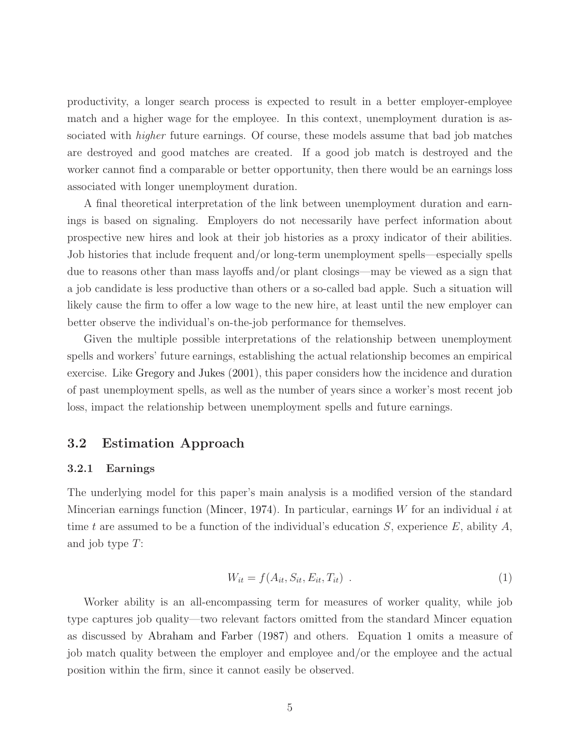productivity, a longer search process is expected to result in a better employer-employee match and a higher wage for the employee. In this context, unemployment duration is associated with *higher* future earnings. Of course, these models assume that bad job matches are destroyed and good matches are created. If a good job match is destroyed and the worker cannot find a comparable or better opportunity, then there would be an earnings loss associated with longer unemployment duration.

A final theoretical interpretation of the link between unemployment duration and earnings is based on signaling. Employers do not necessarily have perfect information about prospective new hires and look at their job histories as a proxy indicator of their abilities. Job histories that include frequent and/or long-term unemployment spells—especially spells due to reasons other than mass layoffs and/or plant closings—may be viewed as a sign that a job candidate is less productive than others or a so-called bad apple. Such a situation will likely cause the firm to offer a low wage to the new hire, at least until the new employer can better observe the individual's on-the-job performance for themselves.

Given the multiple possible interpretations of the relationship between unemployment spells and workers' future earnings, establishing the actual relationship becomes an empirical exercise. Like [Gregory and Jukes](#page-21-3) [\(2001\)](#page-21-3), this paper considers how the incidence and duration of past unemployment spells, as well as the number of years since a worker's most recent job loss, impact the relationship between unemployment spells and future earnings.

#### 3.2 Estimation Approach

#### 3.2.1 Earnings

<span id="page-5-0"></span>The underlying model for this paper's main analysis is a modified version of the standard Mincerian earnings function [\(Mincer](#page-21-8), [1974\)](#page-21-8). In particular, earnings  $W$  for an individual i at time t are assumed to be a function of the individual's education S, experience E, ability A, and job type T:

$$
W_{it} = f(A_{it}, S_{it}, E_{it}, T_{it})
$$
 (1)

Worker ability is an all-encompassing term for measures of worker quality, while job type captures job quality—two relevant factors omitted from the standard Mincer equation as discussed by [Abraham and Farber](#page-21-9) [\(1987](#page-21-9)) and others. Equation [1](#page-5-0) omits a measure of job match quality between the employer and employee and/or the employee and the actual position within the firm, since it cannot easily be observed.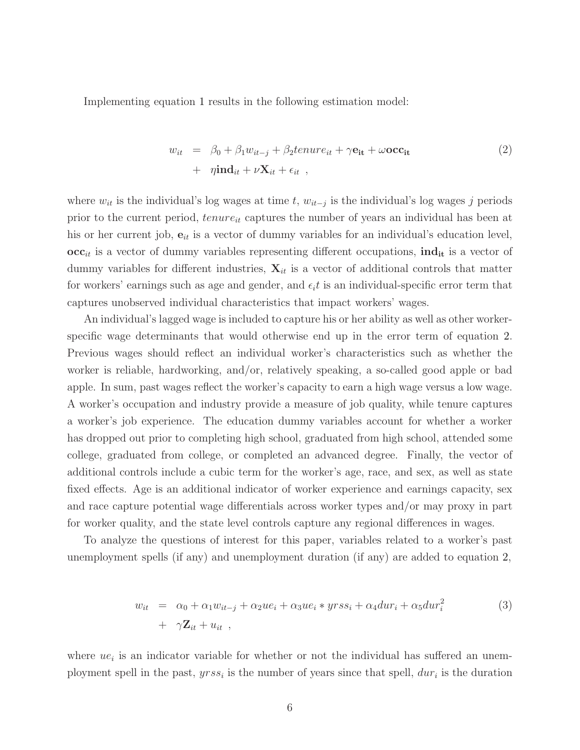Implementing equation [1](#page-5-0) results in the following estimation model:

<span id="page-6-0"></span>
$$
w_{it} = \beta_0 + \beta_1 w_{it-j} + \beta_2 t_{i} + \gamma \mathbf{e}_{it} + \omega \mathbf{occ}_{it} + \eta \mathbf{ind}_{it} + \nu \mathbf{X}_{it} + \epsilon_{it} ,
$$
\n(2)

where  $w_{it}$  is the individual's log wages at time t,  $w_{it-j}$  is the individual's log wages j periods prior to the current period,  $tenure_{it}$  captures the number of years an individual has been at his or her current job,  $e_{it}$  is a vector of dummy variables for an individual's education level,  $\mathbf{occ}_{it}$  is a vector of dummy variables representing different occupations,  $\mathbf{ind}_{it}$  is a vector of dummy variables for different industries,  $\mathbf{X}_{it}$  is a vector of additional controls that matter for workers' earnings such as age and gender, and  $\epsilon_i t$  is an individual-specific error term that captures unobserved individual characteristics that impact workers' wages.

An individual's lagged wage is included to capture his or her ability as well as other workerspecific wage determinants that would otherwise end up in the error term of equation [2.](#page-6-0) Previous wages should reflect an individual worker's characteristics such as whether the worker is reliable, hardworking, and/or, relatively speaking, a so-called good apple or bad apple. In sum, past wages reflect the worker's capacity to earn a high wage versus a low wage. A worker's occupation and industry provide a measure of job quality, while tenure captures a worker's job experience. The education dummy variables account for whether a worker has dropped out prior to completing high school, graduated from high school, attended some college, graduated from college, or completed an advanced degree. Finally, the vector of additional controls include a cubic term for the worker's age, race, and sex, as well as state fixed effects. Age is an additional indicator of worker experience and earnings capacity, sex and race capture potential wage differentials across worker types and/or may proxy in part for worker quality, and the state level controls capture any regional differences in wages.

To analyze the questions of interest for this paper, variables related to a worker's past unemployment spells (if any) and unemployment duration (if any) are added to equation [2,](#page-6-0)

<span id="page-6-1"></span>
$$
w_{it} = \alpha_0 + \alpha_1 w_{it-j} + \alpha_2 u e_i + \alpha_3 u e_i * y r s s_i + \alpha_4 d u r_i + \alpha_5 d u r_i^2
$$
  
+  $\gamma \mathbf{Z}_{it} + u_{it}$ , (3)

where  $ue_i$  is an indicator variable for whether or not the individual has suffered an unemployment spell in the past,  $yrss_i$  is the number of years since that spell,  $dur_i$  is the duration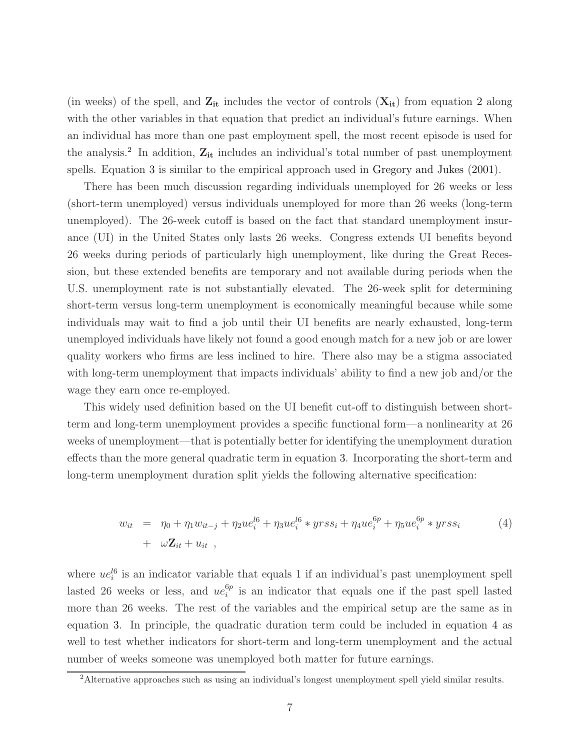(in weeks) of the spell, and  $Z_{it}$  includes the vector of controls  $(X_{it})$  from equation [2](#page-6-0) along with the other variables in that equation that predict an individual's future earnings. When an individual has more than one past employment spell, the most recent episode is used for the analysis.<sup>2</sup> In addition,  $Z_{it}$  includes an individual's total number of past unemployment spells. Equation [3](#page-6-1) is similar to the empirical approach used in [Gregory and Jukes](#page-21-3) [\(2001\)](#page-21-3).

There has been much discussion regarding individuals unemployed for 26 weeks or less (short-term unemployed) versus individuals unemployed for more than 26 weeks (long-term unemployed). The 26-week cutoff is based on the fact that standard unemployment insurance (UI) in the United States only lasts 26 weeks. Congress extends UI benefits beyond 26 weeks during periods of particularly high unemployment, like during the Great Recession, but these extended benefits are temporary and not available during periods when the U.S. unemployment rate is not substantially elevated. The 26-week split for determining short-term versus long-term unemployment is economically meaningful because while some individuals may wait to find a job until their UI benefits are nearly exhausted, long-term unemployed individuals have likely not found a good enough match for a new job or are lower quality workers who firms are less inclined to hire. There also may be a stigma associated with long-term unemployment that impacts individuals' ability to find a new job and/or the wage they earn once re-employed.

This widely used definition based on the UI benefit cut-off to distinguish between shortterm and long-term unemployment provides a specific functional form—a nonlinearity at 26 weeks of unemployment—that is potentially better for identifying the unemployment duration effects than the more general quadratic term in equation [3.](#page-6-1) Incorporating the short-term and long-term unemployment duration split yields the following alternative specification:

<span id="page-7-0"></span>
$$
w_{it} = \eta_0 + \eta_1 w_{it-j} + \eta_2 u e_i^{l6} + \eta_3 u e_i^{l6} * y r s s_i + \eta_4 u e_i^{6p} + \eta_5 u e_i^{6p} * y r s s_i
$$
  
+  $\omega \mathbf{Z}_{it} + u_{it}$ , (4)

where  $ue_i^{l6}$  is an indicator variable that equals 1 if an individual's past unemployment spell lasted 26 weeks or less, and  $ue_i^{6p}$  $i$ <sup>op</sup> is an indicator that equals one if the past spell lasted more than 26 weeks. The rest of the variables and the empirical setup are the same as in equation [3.](#page-6-1) In principle, the quadratic duration term could be included in equation [4](#page-7-0) as well to test whether indicators for short-term and long-term unemployment and the actual number of weeks someone was unemployed both matter for future earnings.

<sup>&</sup>lt;sup>2</sup>Alternative approaches such as using an individual's longest unemployment spell yield similar results.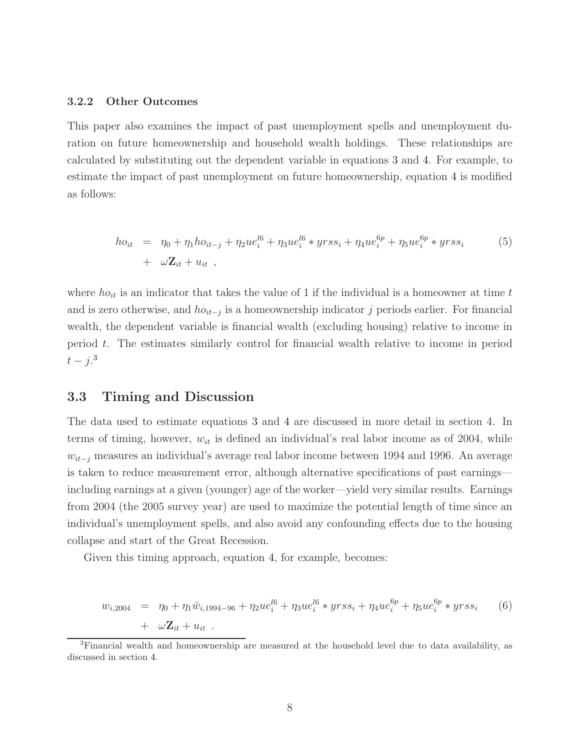#### 3.2.2 Other Outcomes

This paper also examines the impact of past unemployment spells and unemployment duration on future homeownership and household wealth holdings. These relationships are calculated by substituting out the dependent variable in equations [3](#page-6-1) and [4.](#page-7-0) For example, to estimate the impact of past unemployment on future homeownership, equation [4](#page-7-0) is modified as follows:

$$
ho_{it} = \eta_0 + \eta_1 ho_{it-j} + \eta_2 ue_i^{l6} + \eta_3 ue_i^{l6} * yrss_i + \eta_4 ue_i^{6p} + \eta_5 ue_i^{6p} * yrss_i
$$
(5)  
+  $\omega \mathbf{Z}_{it} + u_{it}$ ,

where  $ho_{it}$  is an indicator that takes the value of 1 if the individual is a homeowner at time t and is zero otherwise, and  $ho_{it-j}$  is a homeownership indicator j periods earlier. For financial wealth, the dependent variable is financial wealth (excluding housing) relative to income in period t. The estimates similarly control for financial wealth relative to income in period  $t-j.^3$ 

#### 3.3 Timing and Discussion

The data used to estimate equations [3](#page-6-1) and [4](#page-7-0) are discussed in more detail in section 4. In terms of timing, however,  $w_{it}$  is defined an individual's real labor income as of 2004, while  $w_{it-j}$  measures an individual's average real labor income between 1994 and 1996. An average is taken to reduce measurement error, although alternative specifications of past earnings including earnings at a given (younger) age of the worker—yield very similar results. Earnings from 2004 (the 2005 survey year) are used to maximize the potential length of time since an individual's unemployment spells, and also avoid any confounding effects due to the housing collapse and start of the Great Recession.

Given this timing approach, equation [4,](#page-7-0) for example, becomes:

<span id="page-8-0"></span>
$$
w_{i,2004} = \eta_0 + \eta_1 \bar{w}_{i,1994-96} + \eta_2 u e_i^{l6} + \eta_3 u e_i^{l6} * y r s s_i + \eta_4 u e_i^{6p} + \eta_5 u e_i^{6p} * y r s s_i
$$
(6)  
+  $\omega \mathbf{Z}_{it} + u_{it}$ .

<sup>&</sup>lt;sup>3</sup>Financial wealth and homeownership are measured at the household level due to data availability, as discussed in section [4.](#page-10-0)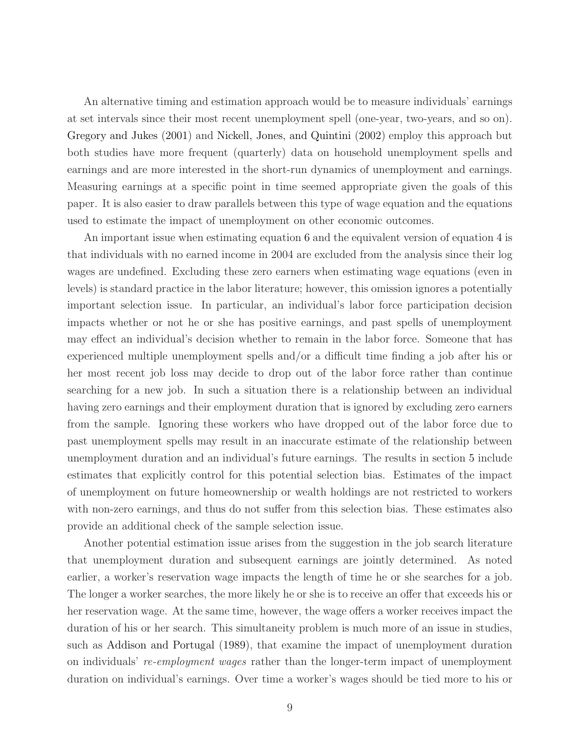An alternative timing and estimation approach would be to measure individuals' earnings at set intervals since their most recent unemployment spell (one-year, two-years, and so on). [Gregory and Jukes](#page-21-3) [\(2001](#page-21-3)) and [Nickell, Jones, and Quintini](#page-21-7) [\(2002\)](#page-21-7) employ this approach but both studies have more frequent (quarterly) data on household unemployment spells and earnings and are more interested in the short-run dynamics of unemployment and earnings. Measuring earnings at a specific point in time seemed appropriate given the goals of this paper. It is also easier to draw parallels between this type of wage equation and the equations used to estimate the impact of unemployment on other economic outcomes.

An important issue when estimating equation [6](#page-8-0) and the equivalent version of equation [4](#page-7-0) is that individuals with no earned income in 2004 are excluded from the analysis since their log wages are undefined. Excluding these zero earners when estimating wage equations (even in levels) is standard practice in the labor literature; however, this omission ignores a potentially important selection issue. In particular, an individual's labor force participation decision impacts whether or not he or she has positive earnings, and past spells of unemployment may effect an individual's decision whether to remain in the labor force. Someone that has experienced multiple unemployment spells and/or a difficult time finding a job after his or her most recent job loss may decide to drop out of the labor force rather than continue searching for a new job. In such a situation there is a relationship between an individual having zero earnings and their employment duration that is ignored by excluding zero earners from the sample. Ignoring these workers who have dropped out of the labor force due to past unemployment spells may result in an inaccurate estimate of the relationship between unemployment duration and an individual's future earnings. The results in section [5](#page-12-0) include estimates that explicitly control for this potential selection bias. Estimates of the impact of unemployment on future homeownership or wealth holdings are not restricted to workers with non-zero earnings, and thus do not suffer from this selection bias. These estimates also provide an additional check of the sample selection issue.

Another potential estimation issue arises from the suggestion in the job search literature that unemployment duration and subsequent earnings are jointly determined. As noted earlier, a worker's reservation wage impacts the length of time he or she searches for a job. The longer a worker searches, the more likely he or she is to receive an offer that exceeds his or her reservation wage. At the same time, however, the wage offers a worker receives impact the duration of his or her search. This simultaneity problem is much more of an issue in studies, such as [Addison and Portugal](#page-21-2) [\(1989](#page-21-2)), that examine the impact of unemployment duration on individuals' re-employment wages rather than the longer-term impact of unemployment duration on individual's earnings. Over time a worker's wages should be tied more to his or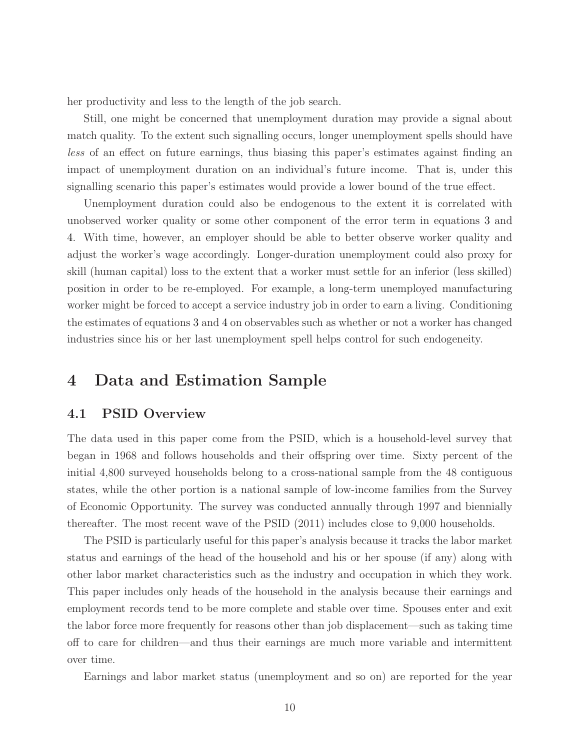her productivity and less to the length of the job search.

Still, one might be concerned that unemployment duration may provide a signal about match quality. To the extent such signalling occurs, longer unemployment spells should have less of an effect on future earnings, thus biasing this paper's estimates against finding an impact of unemployment duration on an individual's future income. That is, under this signalling scenario this paper's estimates would provide a lower bound of the true effect.

Unemployment duration could also be endogenous to the extent it is correlated with unobserved worker quality or some other component of the error term in equations [3](#page-6-1) and [4.](#page-7-0) With time, however, an employer should be able to better observe worker quality and adjust the worker's wage accordingly. Longer-duration unemployment could also proxy for skill (human capital) loss to the extent that a worker must settle for an inferior (less skilled) position in order to be re-employed. For example, a long-term unemployed manufacturing worker might be forced to accept a service industry job in order to earn a living. Conditioning the estimates of equations [3](#page-6-1) and [4](#page-7-0) on observables such as whether or not a worker has changed industries since his or her last unemployment spell helps control for such endogeneity.

## <span id="page-10-0"></span>4 Data and Estimation Sample

#### 4.1 PSID Overview

The data used in this paper come from the PSID, which is a household-level survey that began in 1968 and follows households and their offspring over time. Sixty percent of the initial 4,800 surveyed households belong to a cross-national sample from the 48 contiguous states, while the other portion is a national sample of low-income families from the Survey of Economic Opportunity. The survey was conducted annually through 1997 and biennially thereafter. The most recent wave of the PSID (2011) includes close to 9,000 households.

The PSID is particularly useful for this paper's analysis because it tracks the labor market status and earnings of the head of the household and his or her spouse (if any) along with other labor market characteristics such as the industry and occupation in which they work. This paper includes only heads of the household in the analysis because their earnings and employment records tend to be more complete and stable over time. Spouses enter and exit the labor force more frequently for reasons other than job displacement—such as taking time off to care for children—and thus their earnings are much more variable and intermittent over time.

Earnings and labor market status (unemployment and so on) are reported for the year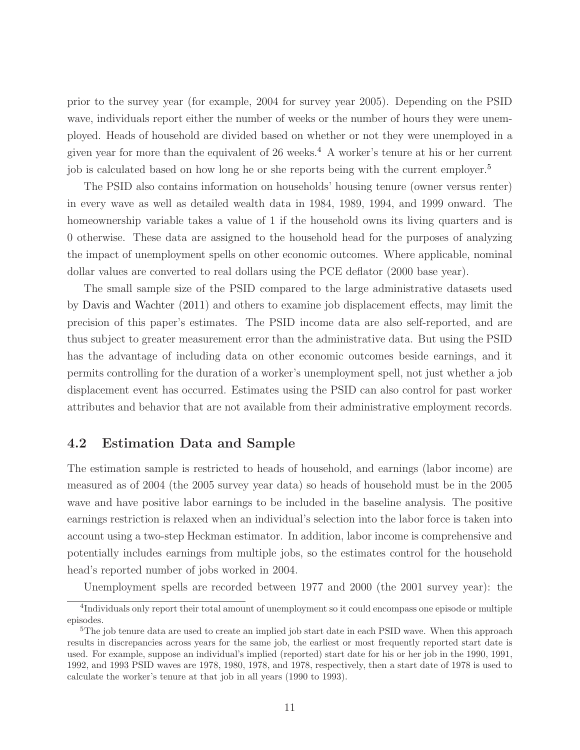prior to the survey year (for example, 2004 for survey year 2005). Depending on the PSID wave, individuals report either the number of weeks or the number of hours they were unemployed. Heads of household are divided based on whether or not they were unemployed in a given year for more than the equivalent of 26 weeks.<sup>4</sup> A worker's tenure at his or her current job is calculated based on how long he or she reports being with the current employer.<sup>5</sup>

The PSID also contains information on households' housing tenure (owner versus renter) in every wave as well as detailed wealth data in 1984, 1989, 1994, and 1999 onward. The homeownership variable takes a value of 1 if the household owns its living quarters and is 0 otherwise. These data are assigned to the household head for the purposes of analyzing the impact of unemployment spells on other economic outcomes. Where applicable, nominal dollar values are converted to real dollars using the PCE deflator (2000 base year).

The small sample size of the PSID compared to the large administrative datasets used by [Davis and Wachter](#page-21-1) [\(2011\)](#page-21-1) and others to examine job displacement effects, may limit the precision of this paper's estimates. The PSID income data are also self-reported, and are thus subject to greater measurement error than the administrative data. But using the PSID has the advantage of including data on other economic outcomes beside earnings, and it permits controlling for the duration of a worker's unemployment spell, not just whether a job displacement event has occurred. Estimates using the PSID can also control for past worker attributes and behavior that are not available from their administrative employment records.

#### 4.2 Estimation Data and Sample

The estimation sample is restricted to heads of household, and earnings (labor income) are measured as of 2004 (the 2005 survey year data) so heads of household must be in the 2005 wave and have positive labor earnings to be included in the baseline analysis. The positive earnings restriction is relaxed when an individual's selection into the labor force is taken into account using a two-step Heckman estimator. In addition, labor income is comprehensive and potentially includes earnings from multiple jobs, so the estimates control for the household head's reported number of jobs worked in 2004.

Unemployment spells are recorded between 1977 and 2000 (the 2001 survey year): the

<sup>&</sup>lt;sup>4</sup>Individuals only report their total amount of unemployment so it could encompass one episode or multiple episodes.

<sup>&</sup>lt;sup>5</sup>The job tenure data are used to create an implied job start date in each PSID wave. When this approach results in discrepancies across years for the same job, the earliest or most frequently reported start date is used. For example, suppose an individual's implied (reported) start date for his or her job in the 1990, 1991, 1992, and 1993 PSID waves are 1978, 1980, 1978, and 1978, respectively, then a start date of 1978 is used to calculate the worker's tenure at that job in all years (1990 to 1993).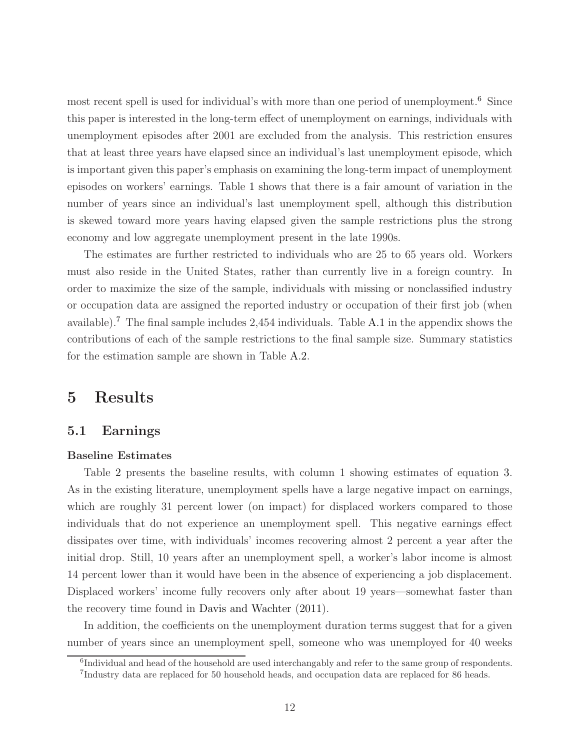most recent spell is used for individual's with more than one period of unemployment.<sup>6</sup> Since this paper is interested in the long-term effect of unemployment on earnings, individuals with unemployment episodes after 2001 are excluded from the analysis. This restriction ensures that at least three years have elapsed since an individual's last unemployment episode, which is important given this paper's emphasis on examining the long-term impact of unemployment episodes on workers' earnings. Table [1](#page-24-0) shows that there is a fair amount of variation in the number of years since an individual's last unemployment spell, although this distribution is skewed toward more years having elapsed given the sample restrictions plus the strong economy and low aggregate unemployment present in the late 1990s.

The estimates are further restricted to individuals who are 25 to 65 years old. Workers must also reside in the United States, rather than currently live in a foreign country. In order to maximize the size of the sample, individuals with missing or nonclassified industry or occupation data are assigned the reported industry or occupation of their first job (when available).<sup>7</sup> The final sample includes 2,454 individuals. Table [A.1](#page-29-0) in the appendix shows the contributions of each of the sample restrictions to the final sample size. Summary statistics for the estimation sample are shown in Table [A.2.](#page-30-0)

## <span id="page-12-0"></span>5 Results

#### 5.1 Earnings

#### Baseline Estimates

Table [2](#page-25-0) presents the baseline results, with column 1 showing estimates of equation [3.](#page-6-1) As in the existing literature, unemployment spells have a large negative impact on earnings, which are roughly 31 percent lower (on impact) for displaced workers compared to those individuals that do not experience an unemployment spell. This negative earnings effect dissipates over time, with individuals' incomes recovering almost 2 percent a year after the initial drop. Still, 10 years after an unemployment spell, a worker's labor income is almost 14 percent lower than it would have been in the absence of experiencing a job displacement. Displaced workers' income fully recovers only after about 19 years—somewhat faster than the recovery time found in [Davis and Wachter](#page-21-1) [\(2011\)](#page-21-1).

In addition, the coefficients on the unemployment duration terms suggest that for a given number of years since an unemployment spell, someone who was unemployed for 40 weeks

<sup>&</sup>lt;sup>6</sup>Individual and head of the household are used interchangably and refer to the same group of respondents.

<sup>7</sup> Industry data are replaced for 50 household heads, and occupation data are replaced for 86 heads.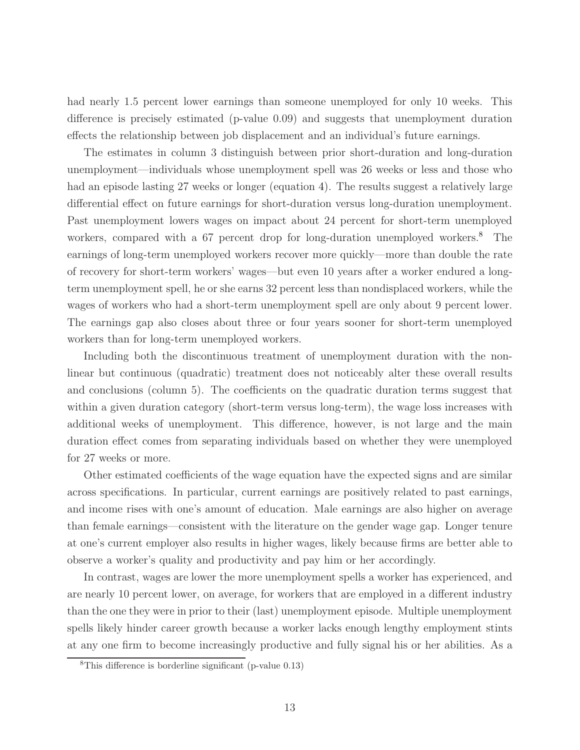had nearly 1.5 percent lower earnings than someone unemployed for only 10 weeks. This difference is precisely estimated (p-value 0.09) and suggests that unemployment duration effects the relationship between job displacement and an individual's future earnings.

The estimates in column 3 distinguish between prior short-duration and long-duration unemployment—individuals whose unemployment spell was 26 weeks or less and those who had an episode lasting 27 weeks or longer (equation [4\)](#page-7-0). The results suggest a relatively large differential effect on future earnings for short-duration versus long-duration unemployment. Past unemployment lowers wages on impact about 24 percent for short-term unemployed workers, compared with a 67 percent drop for long-duration unemployed workers.<sup>8</sup> The earnings of long-term unemployed workers recover more quickly—more than double the rate of recovery for short-term workers' wages—but even 10 years after a worker endured a longterm unemployment spell, he or she earns 32 percent less than nondisplaced workers, while the wages of workers who had a short-term unemployment spell are only about 9 percent lower. The earnings gap also closes about three or four years sooner for short-term unemployed workers than for long-term unemployed workers.

Including both the discontinuous treatment of unemployment duration with the nonlinear but continuous (quadratic) treatment does not noticeably alter these overall results and conclusions (column 5). The coefficients on the quadratic duration terms suggest that within a given duration category (short-term versus long-term), the wage loss increases with additional weeks of unemployment. This difference, however, is not large and the main duration effect comes from separating individuals based on whether they were unemployed for 27 weeks or more.

Other estimated coefficients of the wage equation have the expected signs and are similar across specifications. In particular, current earnings are positively related to past earnings, and income rises with one's amount of education. Male earnings are also higher on average than female earnings—consistent with the literature on the gender wage gap. Longer tenure at one's current employer also results in higher wages, likely because firms are better able to observe a worker's quality and productivity and pay him or her accordingly.

In contrast, wages are lower the more unemployment spells a worker has experienced, and are nearly 10 percent lower, on average, for workers that are employed in a different industry than the one they were in prior to their (last) unemployment episode. Multiple unemployment spells likely hinder career growth because a worker lacks enough lengthy employment stints at any one firm to become increasingly productive and fully signal his or her abilities. As a

<sup>8</sup>This difference is borderline significant (p-value 0.13)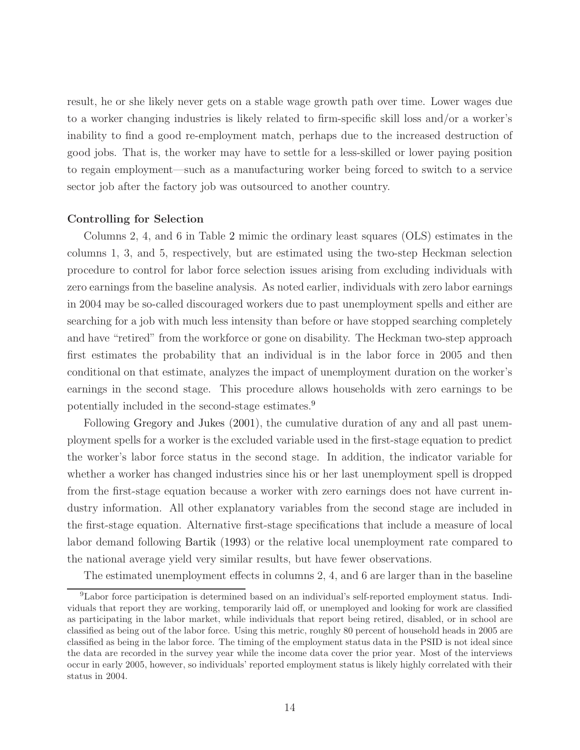result, he or she likely never gets on a stable wage growth path over time. Lower wages due to a worker changing industries is likely related to firm-specific skill loss and/or a worker's inability to find a good re-employment match, perhaps due to the increased destruction of good jobs. That is, the worker may have to settle for a less-skilled or lower paying position to regain employment—such as a manufacturing worker being forced to switch to a service sector job after the factory job was outsourced to another country.

#### Controlling for Selection

Columns 2, 4, and 6 in Table [2](#page-25-0) mimic the ordinary least squares (OLS) estimates in the columns 1, 3, and 5, respectively, but are estimated using the two-step Heckman selection procedure to control for labor force selection issues arising from excluding individuals with zero earnings from the baseline analysis. As noted earlier, individuals with zero labor earnings in 2004 may be so-called discouraged workers due to past unemployment spells and either are searching for a job with much less intensity than before or have stopped searching completely and have "retired" from the workforce or gone on disability. The Heckman two-step approach first estimates the probability that an individual is in the labor force in 2005 and then conditional on that estimate, analyzes the impact of unemployment duration on the worker's earnings in the second stage. This procedure allows households with zero earnings to be potentially included in the second-stage estimates.<sup>9</sup>

Following [Gregory and Jukes](#page-21-3) [\(2001\)](#page-21-3), the cumulative duration of any and all past unemployment spells for a worker is the excluded variable used in the first-stage equation to predict the worker's labor force status in the second stage. In addition, the indicator variable for whether a worker has changed industries since his or her last unemployment spell is dropped from the first-stage equation because a worker with zero earnings does not have current industry information. All other explanatory variables from the second stage are included in the first-stage equation. Alternative first-stage specifications that include a measure of local labor demand following [Bartik](#page-21-10) [\(1993](#page-21-10)) or the relative local unemployment rate compared to the national average yield very similar results, but have fewer observations.

The estimated unemployment effects in columns 2, 4, and 6 are larger than in the baseline

<sup>9</sup>Labor force participation is determined based on an individual's self-reported employment status. Individuals that report they are working, temporarily laid off, or unemployed and looking for work are classified as participating in the labor market, while individuals that report being retired, disabled, or in school are classified as being out of the labor force. Using this metric, roughly 80 percent of household heads in 2005 are classified as being in the labor force. The timing of the employment status data in the PSID is not ideal since the data are recorded in the survey year while the income data cover the prior year. Most of the interviews occur in early 2005, however, so individuals' reported employment status is likely highly correlated with their status in 2004.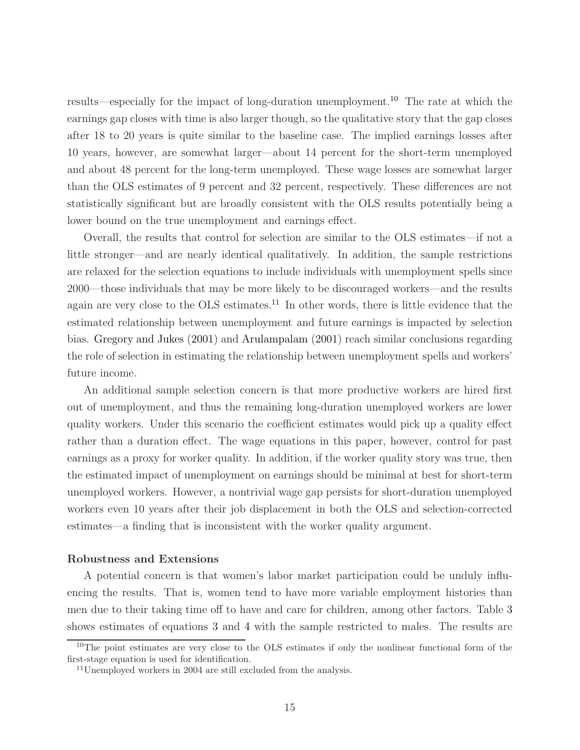results—especially for the impact of long-duration unemployment.<sup>10</sup> The rate at which the earnings gap closes with time is also larger though, so the qualitative story that the gap closes after 18 to 20 years is quite similar to the baseline case. The implied earnings losses after 10 years, however, are somewhat larger—about 14 percent for the short-term unemployed and about 48 percent for the long-term unemployed. These wage losses are somewhat larger than the OLS estimates of 9 percent and 32 percent, respectively. These differences are not statistically significant but are broadly consistent with the OLS results potentially being a lower bound on the true unemployment and earnings effect.

Overall, the results that control for selection are similar to the OLS estimates—if not a little stronger—and are nearly identical qualitatively. In addition, the sample restrictions are relaxed for the selection equations to include individuals with unemployment spells since 2000—those individuals that may be more likely to be discouraged workers—and the results again are very close to the OLS estimates.<sup>11</sup> In other words, there is little evidence that the estimated relationship between unemployment and future earnings is impacted by selection bias. [Gregory and Jukes](#page-21-3) [\(2001\)](#page-21-3) and [Arulampalam](#page-21-11) [\(2001\)](#page-21-11) reach similar conclusions regarding the role of selection in estimating the relationship between unemployment spells and workers' future income.

An additional sample selection concern is that more productive workers are hired first out of unemployment, and thus the remaining long-duration unemployed workers are lower quality workers. Under this scenario the coefficient estimates would pick up a quality effect rather than a duration effect. The wage equations in this paper, however, control for past earnings as a proxy for worker quality. In addition, if the worker quality story was true, then the estimated impact of unemployment on earnings should be minimal at best for short-term unemployed workers. However, a nontrivial wage gap persists for short-duration unemployed workers even 10 years after their job displacement in both the OLS and selection-corrected estimates—a finding that is inconsistent with the worker quality argument.

#### Robustness and Extensions

A potential concern is that women's labor market participation could be unduly influencing the results. That is, women tend to have more variable employment histories than men due to their taking time off to have and care for children, among other factors. Table [3](#page-26-0) shows estimates of equations [3](#page-6-1) and [4](#page-7-0) with the sample restricted to males. The results are

<sup>&</sup>lt;sup>10</sup>The point estimates are very close to the OLS estimates if only the nonlinear functional form of the first-stage equation is used for identification.

<sup>11</sup>Unemployed workers in 2004 are still excluded from the analysis.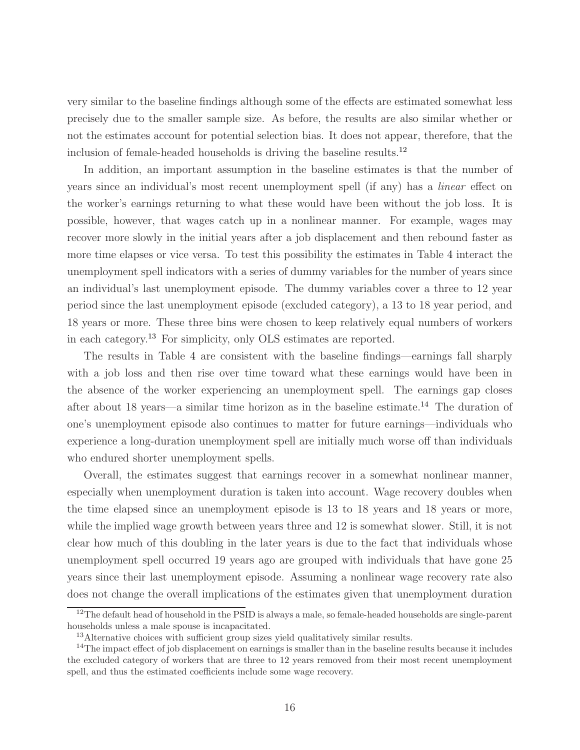very similar to the baseline findings although some of the effects are estimated somewhat less precisely due to the smaller sample size. As before, the results are also similar whether or not the estimates account for potential selection bias. It does not appear, therefore, that the inclusion of female-headed households is driving the baseline results.<sup>12</sup>

In addition, an important assumption in the baseline estimates is that the number of years since an individual's most recent unemployment spell (if any) has a linear effect on the worker's earnings returning to what these would have been without the job loss. It is possible, however, that wages catch up in a nonlinear manner. For example, wages may recover more slowly in the initial years after a job displacement and then rebound faster as more time elapses or vice versa. To test this possibility the estimates in Table [4](#page-27-0) interact the unemployment spell indicators with a series of dummy variables for the number of years since an individual's last unemployment episode. The dummy variables cover a three to 12 year period since the last unemployment episode (excluded category), a 13 to 18 year period, and 18 years or more. These three bins were chosen to keep relatively equal numbers of workers in each category.<sup>13</sup> For simplicity, only OLS estimates are reported.

The results in Table [4](#page-27-0) are consistent with the baseline findings—earnings fall sharply with a job loss and then rise over time toward what these earnings would have been in the absence of the worker experiencing an unemployment spell. The earnings gap closes after about 18 years—a similar time horizon as in the baseline estimate. <sup>14</sup> The duration of one's unemployment episode also continues to matter for future earnings—individuals who experience a long-duration unemployment spell are initially much worse off than individuals who endured shorter unemployment spells.

Overall, the estimates suggest that earnings recover in a somewhat nonlinear manner, especially when unemployment duration is taken into account. Wage recovery doubles when the time elapsed since an unemployment episode is 13 to 18 years and 18 years or more, while the implied wage growth between years three and 12 is somewhat slower. Still, it is not clear how much of this doubling in the later years is due to the fact that individuals whose unemployment spell occurred 19 years ago are grouped with individuals that have gone 25 years since their last unemployment episode. Assuming a nonlinear wage recovery rate also does not change the overall implications of the estimates given that unemployment duration

 $12$ The default head of household in the PSID is always a male, so female-headed households are single-parent households unless a male spouse is incapacitated.

<sup>&</sup>lt;sup>13</sup>Alternative choices with sufficient group sizes yield qualitatively similar results.

<sup>&</sup>lt;sup>14</sup>The impact effect of job displacement on earnings is smaller than in the baseline results because it includes the excluded category of workers that are three to 12 years removed from their most recent unemployment spell, and thus the estimated coefficients include some wage recovery.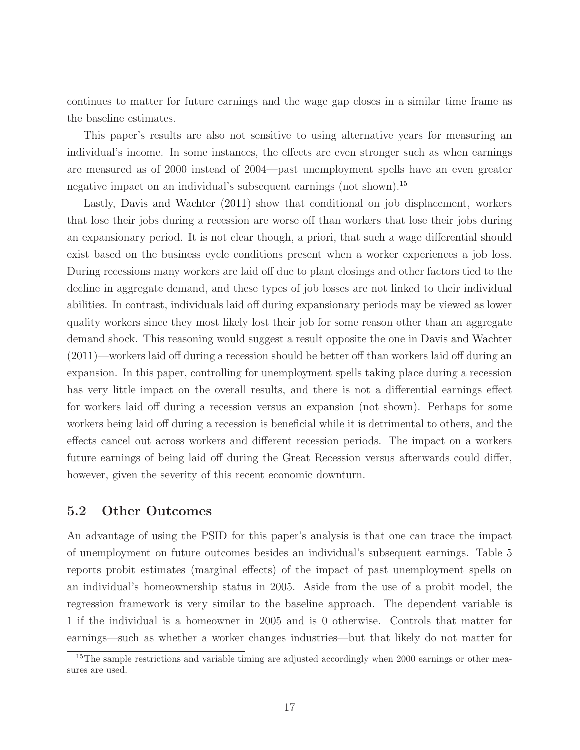continues to matter for future earnings and the wage gap closes in a similar time frame as the baseline estimates.

This paper's results are also not sensitive to using alternative years for measuring an individual's income. In some instances, the effects are even stronger such as when earnings are measured as of 2000 instead of 2004—past unemployment spells have an even greater negative impact on an individual's subsequent earnings (not shown).<sup>15</sup>

Lastly, [Davis and Wachter](#page-21-1) [\(2011](#page-21-1)) show that conditional on job displacement, workers that lose their jobs during a recession are worse off than workers that lose their jobs during an expansionary period. It is not clear though, a priori, that such a wage differential should exist based on the business cycle conditions present when a worker experiences a job loss. During recessions many workers are laid off due to plant closings and other factors tied to the decline in aggregate demand, and these types of job losses are not linked to their individual abilities. In contrast, individuals laid off during expansionary periods may be viewed as lower quality workers since they most likely lost their job for some reason other than an aggregate demand shock. This reasoning would suggest a result opposite the one in [Davis and Wachter](#page-21-1) [\(2011](#page-21-1))—workers laid off during a recession should be better off than workers laid off during an expansion. In this paper, controlling for unemployment spells taking place during a recession has very little impact on the overall results, and there is not a differential earnings effect for workers laid off during a recession versus an expansion (not shown). Perhaps for some workers being laid off during a recession is beneficial while it is detrimental to others, and the effects cancel out across workers and different recession periods. The impact on a workers future earnings of being laid off during the Great Recession versus afterwards could differ, however, given the severity of this recent economic downturn.

#### 5.2 Other Outcomes

An advantage of using the PSID for this paper's analysis is that one can trace the impact of unemployment on future outcomes besides an individual's subsequent earnings. Table [5](#page-28-0) reports probit estimates (marginal effects) of the impact of past unemployment spells on an individual's homeownership status in 2005. Aside from the use of a probit model, the regression framework is very similar to the baseline approach. The dependent variable is 1 if the individual is a homeowner in 2005 and is 0 otherwise. Controls that matter for earnings—such as whether a worker changes industries—but that likely do not matter for

<sup>&</sup>lt;sup>15</sup>The sample restrictions and variable timing are adjusted accordingly when 2000 earnings or other measures are used.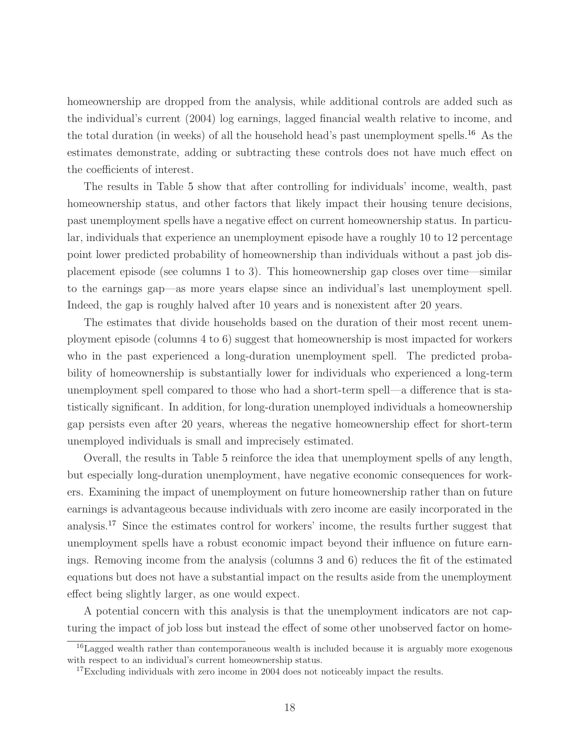homeownership are dropped from the analysis, while additional controls are added such as the individual's current (2004) log earnings, lagged financial wealth relative to income, and the total duration (in weeks) of all the household head's past unemployment spells.<sup>16</sup> As the estimates demonstrate, adding or subtracting these controls does not have much effect on the coefficients of interest.

The results in Table [5](#page-28-0) show that after controlling for individuals' income, wealth, past homeownership status, and other factors that likely impact their housing tenure decisions, past unemployment spells have a negative effect on current homeownership status. In particular, individuals that experience an unemployment episode have a roughly 10 to 12 percentage point lower predicted probability of homeownership than individuals without a past job displacement episode (see columns 1 to 3). This homeownership gap closes over time—similar to the earnings gap—as more years elapse since an individual's last unemployment spell. Indeed, the gap is roughly halved after 10 years and is nonexistent after 20 years.

The estimates that divide households based on the duration of their most recent unemployment episode (columns 4 to 6) suggest that homeownership is most impacted for workers who in the past experienced a long-duration unemployment spell. The predicted probability of homeownership is substantially lower for individuals who experienced a long-term unemployment spell compared to those who had a short-term spell—a difference that is statistically significant. In addition, for long-duration unemployed individuals a homeownership gap persists even after 20 years, whereas the negative homeownership effect for short-term unemployed individuals is small and imprecisely estimated.

Overall, the results in Table [5](#page-28-0) reinforce the idea that unemployment spells of any length, but especially long-duration unemployment, have negative economic consequences for workers. Examining the impact of unemployment on future homeownership rather than on future earnings is advantageous because individuals with zero income are easily incorporated in the analysis.<sup>17</sup> Since the estimates control for workers' income, the results further suggest that unemployment spells have a robust economic impact beyond their influence on future earnings. Removing income from the analysis (columns 3 and 6) reduces the fit of the estimated equations but does not have a substantial impact on the results aside from the unemployment effect being slightly larger, as one would expect.

A potential concern with this analysis is that the unemployment indicators are not capturing the impact of job loss but instead the effect of some other unobserved factor on home-

<sup>&</sup>lt;sup>16</sup>Lagged wealth rather than contemporaneous wealth is included because it is arguably more exogenous with respect to an individual's current homeownership status.

 $17E$ xcluding individuals with zero income in 2004 does not noticeably impact the results.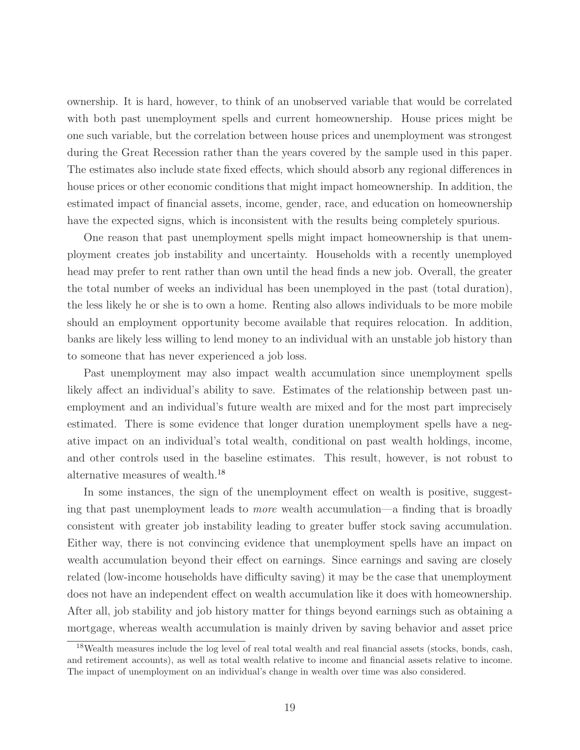ownership. It is hard, however, to think of an unobserved variable that would be correlated with both past unemployment spells and current homeownership. House prices might be one such variable, but the correlation between house prices and unemployment was strongest during the Great Recession rather than the years covered by the sample used in this paper. The estimates also include state fixed effects, which should absorb any regional differences in house prices or other economic conditions that might impact homeownership. In addition, the estimated impact of financial assets, income, gender, race, and education on homeownership have the expected signs, which is inconsistent with the results being completely spurious.

One reason that past unemployment spells might impact homeownership is that unemployment creates job instability and uncertainty. Households with a recently unemployed head may prefer to rent rather than own until the head finds a new job. Overall, the greater the total number of weeks an individual has been unemployed in the past (total duration), the less likely he or she is to own a home. Renting also allows individuals to be more mobile should an employment opportunity become available that requires relocation. In addition, banks are likely less willing to lend money to an individual with an unstable job history than to someone that has never experienced a job loss.

Past unemployment may also impact wealth accumulation since unemployment spells likely affect an individual's ability to save. Estimates of the relationship between past unemployment and an individual's future wealth are mixed and for the most part imprecisely estimated. There is some evidence that longer duration unemployment spells have a negative impact on an individual's total wealth, conditional on past wealth holdings, income, and other controls used in the baseline estimates. This result, however, is not robust to alternative measures of wealth.<sup>18</sup>

In some instances, the sign of the unemployment effect on wealth is positive, suggesting that past unemployment leads to more wealth accumulation—a finding that is broadly consistent with greater job instability leading to greater buffer stock saving accumulation. Either way, there is not convincing evidence that unemployment spells have an impact on wealth accumulation beyond their effect on earnings. Since earnings and saving are closely related (low-income households have difficulty saving) it may be the case that unemployment does not have an independent effect on wealth accumulation like it does with homeownership. After all, job stability and job history matter for things beyond earnings such as obtaining a mortgage, whereas wealth accumulation is mainly driven by saving behavior and asset price

<sup>&</sup>lt;sup>18</sup>Wealth measures include the log level of real total wealth and real financial assets (stocks, bonds, cash, and retirement accounts), as well as total wealth relative to income and financial assets relative to income. The impact of unemployment on an individual's change in wealth over time was also considered.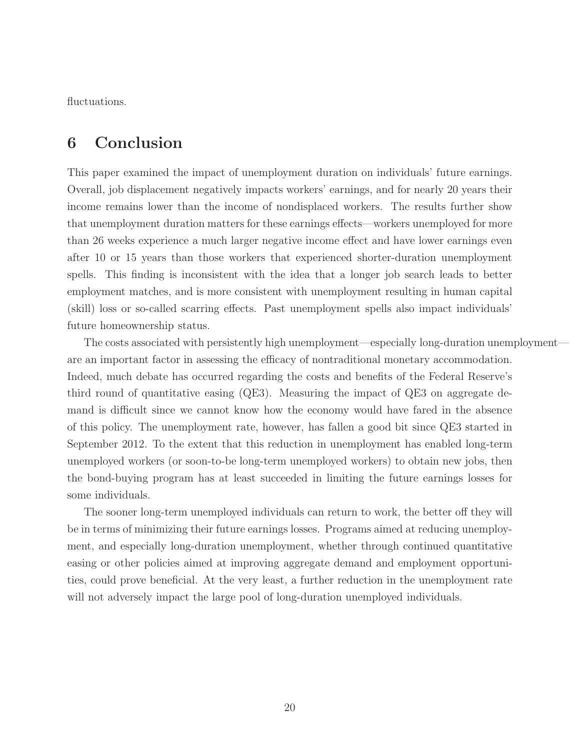fluctuations.

## 6 Conclusion

This paper examined the impact of unemployment duration on individuals' future earnings. Overall, job displacement negatively impacts workers' earnings, and for nearly 20 years their income remains lower than the income of nondisplaced workers. The results further show that unemployment duration matters for these earnings effects—workers unemployed for more than 26 weeks experience a much larger negative income effect and have lower earnings even after 10 or 15 years than those workers that experienced shorter-duration unemployment spells. This finding is inconsistent with the idea that a longer job search leads to better employment matches, and is more consistent with unemployment resulting in human capital (skill) loss or so-called scarring effects. Past unemployment spells also impact individuals' future homeownership status.

The costs associated with persistently high unemployment—especially long-duration unemployment are an important factor in assessing the efficacy of nontraditional monetary accommodation. Indeed, much debate has occurred regarding the costs and benefits of the Federal Reserve's third round of quantitative easing (QE3). Measuring the impact of QE3 on aggregate demand is difficult since we cannot know how the economy would have fared in the absence of this policy. The unemployment rate, however, has fallen a good bit since QE3 started in September 2012. To the extent that this reduction in unemployment has enabled long-term unemployed workers (or soon-to-be long-term unemployed workers) to obtain new jobs, then the bond-buying program has at least succeeded in limiting the future earnings losses for some individuals.

The sooner long-term unemployed individuals can return to work, the better off they will be in terms of minimizing their future earnings losses. Programs aimed at reducing unemployment, and especially long-duration unemployment, whether through continued quantitative easing or other policies aimed at improving aggregate demand and employment opportunities, could prove beneficial. At the very least, a further reduction in the unemployment rate will not adversely impact the large pool of long-duration unemployed individuals.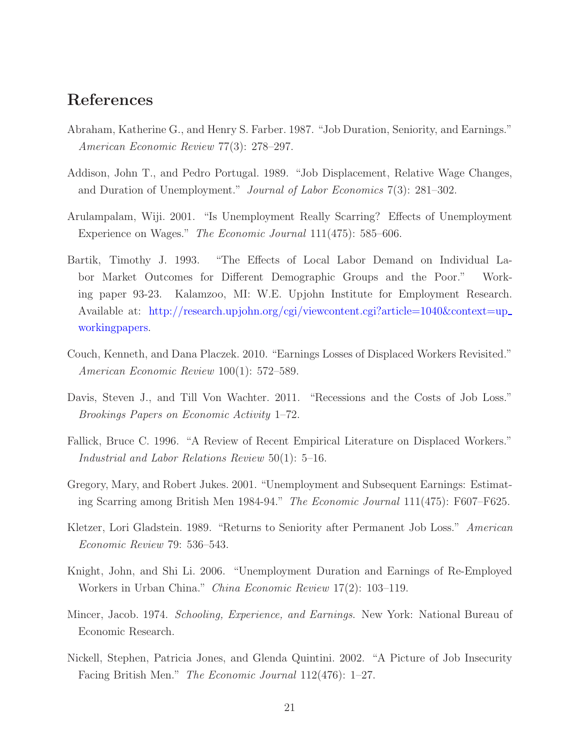## References

- <span id="page-21-9"></span>Abraham, Katherine G., and Henry S. Farber. 1987. "Job Duration, Seniority, and Earnings." American Economic Review 77(3): 278–297.
- <span id="page-21-2"></span>Addison, John T., and Pedro Portugal. 1989. "Job Displacement, Relative Wage Changes, and Duration of Unemployment." Journal of Labor Economics 7(3): 281–302.
- <span id="page-21-11"></span>Arulampalam, Wiji. 2001. "Is Unemployment Really Scarring? Effects of Unemployment Experience on Wages." The Economic Journal 111(475): 585–606.
- <span id="page-21-10"></span>Bartik, Timothy J. 1993. "The Effects of Local Labor Demand on Individual Labor Market Outcomes for Different Demographic Groups and the Poor." Working paper 93-23. Kalamzoo, MI: W.E. Upjohn Institute for Employment Research. Available at: http://research.upjohn.org/cgi/viewcontent.cgi?article=1040&context=up\_ workingpapers.
- <span id="page-21-0"></span>Couch, Kenneth, and Dana Placzek. 2010. "Earnings Losses of Displaced Workers Revisited." American Economic Review 100(1): 572–589.
- <span id="page-21-1"></span>Davis, Steven J., and Till Von Wachter. 2011. "Recessions and the Costs of Job Loss." Brookings Papers on Economic Activity 1–72.
- <span id="page-21-5"></span>Fallick, Bruce C. 1996. "A Review of Recent Empirical Literature on Displaced Workers." Industrial and Labor Relations Review 50(1): 5–16.
- <span id="page-21-3"></span>Gregory, Mary, and Robert Jukes. 2001. "Unemployment and Subsequent Earnings: Estimating Scarring among British Men 1984-94." The Economic Journal 111(475): F607–F625.
- <span id="page-21-6"></span>Kletzer, Lori Gladstein. 1989. "Returns to Seniority after Permanent Job Loss." American Economic Review 79: 536–543.
- <span id="page-21-4"></span>Knight, John, and Shi Li. 2006. "Unemployment Duration and Earnings of Re-Employed Workers in Urban China." China Economic Review 17(2): 103–119.
- <span id="page-21-8"></span>Mincer, Jacob. 1974. *Schooling, Experience, and Earnings*. New York: National Bureau of Economic Research.
- <span id="page-21-7"></span>Nickell, Stephen, Patricia Jones, and Glenda Quintini. 2002. "A Picture of Job Insecurity Facing British Men." The Economic Journal 112(476): 1–27.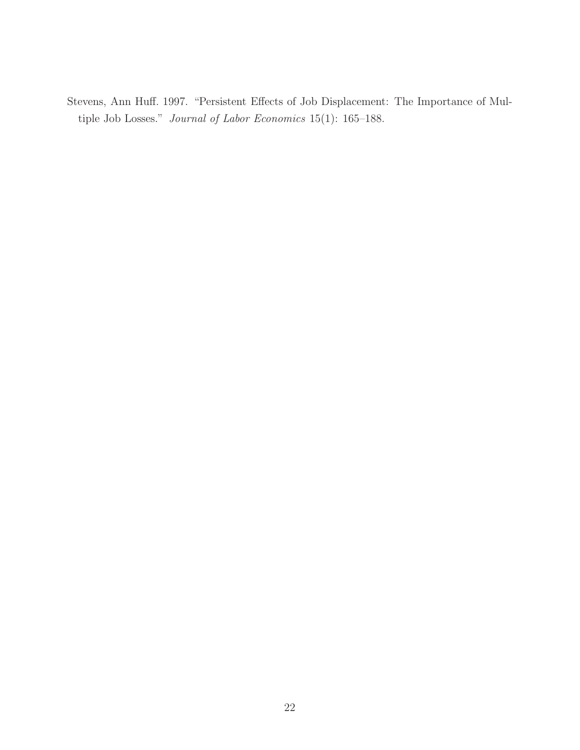<span id="page-22-0"></span>Stevens, Ann Huff. 1997. "Persistent Effects of Job Displacement: The Importance of Multiple Job Losses." Journal of Labor Economics 15(1): 165–188.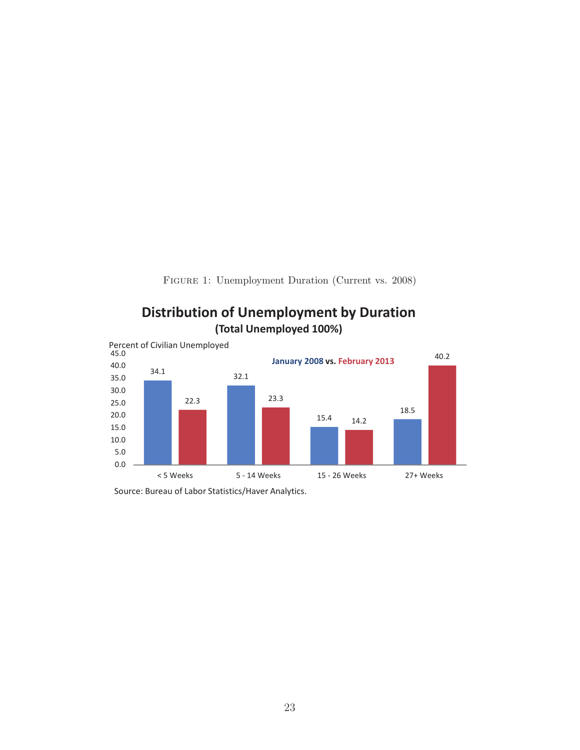Figure 1: Unemployment Duration (Current vs. 2008)

<span id="page-23-0"></span>

# **Distribution of Unemployment by Duration**

Source: Bureau of Labor Statistics/Haver Analytics.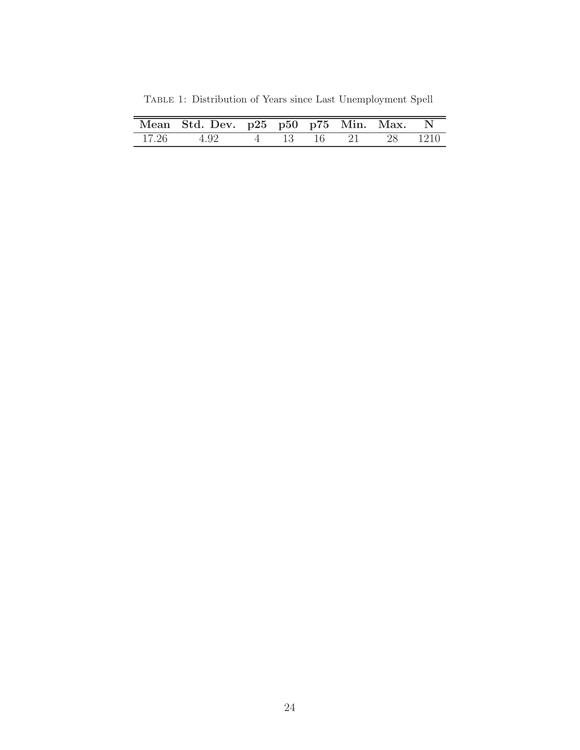| Mean Std. Dev. p25 p50 p75 Min. Max. N |  |  |  |
|----------------------------------------|--|--|--|
| 17.26 4.92 4 13 16 21 28 1210          |  |  |  |

<span id="page-24-0"></span>Table 1: Distribution of Years since Last Unemployment Spell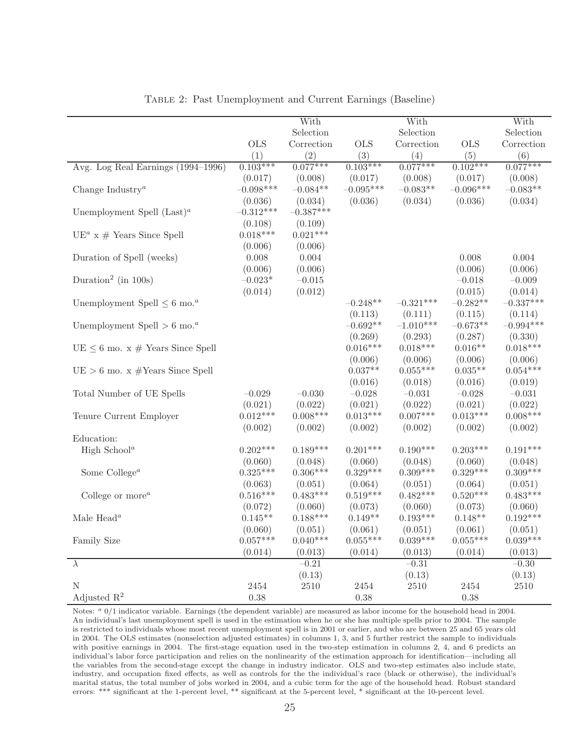<span id="page-25-0"></span>

|                                                     |                       | With                  |                       | With                  |                       | With                  |
|-----------------------------------------------------|-----------------------|-----------------------|-----------------------|-----------------------|-----------------------|-----------------------|
|                                                     |                       | Selection             |                       | Selection             |                       | Selection             |
|                                                     | <b>OLS</b>            | Correction            | <b>OLS</b>            | Correction            | <b>OLS</b>            | Correction            |
|                                                     | (1)                   | (2)                   | (3)                   | (4)                   | (5)                   | (6)                   |
| Avg. Log Real Earnings (1994–1996)                  | $0.103***$            | $0.077***$            | $0.103***$            | $0.077***$            | $0.102***$            | $0.077***$            |
|                                                     | (0.017)               | (0.008)               | (0.017)               | (0.008)               | (0.017)               | (0.008)               |
| Change Industry <sup><math>a</math></sup>           | $-0.098***$           | $-0.084**$            | $-0.095***$           | $-0.083**$            | $-0.096***$           | $-0.083**$            |
|                                                     | (0.036)               | (0.034)               | (0.036)               | (0.034)               | (0.036)               | (0.034)               |
| Unemployment Spell $(Last)^a$                       | $-0.312***$           | $-0.387***$           |                       |                       |                       |                       |
|                                                     | (0.108)               | (0.109)               |                       |                       |                       |                       |
| UE <sup>a</sup> x # Years Since Spell               | $0.018***$            | $0.021***$            |                       |                       |                       |                       |
|                                                     | (0.006)               | (0.006)               |                       |                       |                       |                       |
| Duration of Spell (weeks)                           | $0.008\,$             | 0.004                 |                       |                       | 0.008                 | 0.004                 |
|                                                     | (0.006)               | (0.006)               |                       |                       | (0.006)               | (0.006)               |
| Duration <sup>2</sup> (in 100s)                     | $-0.023*$             | $-0.015$              |                       |                       | $-0.018$              | $-0.009$              |
|                                                     | (0.014)               | (0.012)               |                       |                       | (0.015)               | (0.014)               |
| Unemployment Spell $\leq 6$ mo. <sup><i>a</i></sup> |                       |                       | $-0.248**$            | $-0.321***$           | $-0.282**$            | $-0.337***$           |
|                                                     |                       |                       | (0.113)               | (0.111)               | (0.115)               | (0.114)               |
| Unemployment Spell $> 6$ mo. <sup><i>a</i></sup>    |                       |                       | $-0.692**$            | $-1.010***$           | $-0.673**$            | $-0.994***$           |
|                                                     |                       |                       | (0.269)               | (0.293)               | (0.287)               | (0.330)               |
| $UE \leq 6$ mo. x # Years Since Spell               |                       |                       | $0.016***$            | $0.018***$            | $0.016**$             | $0.018***$            |
|                                                     |                       |                       | (0.006)               | (0.006)               | (0.006)               | (0.006)               |
| $UE > 6$ mo. x #Years Since Spell                   |                       |                       | $0.037**$             | $0.055***$            | $0.035**$             | $0.054***$            |
|                                                     |                       |                       | (0.016)               | (0.018)               | (0.016)               | (0.019)               |
|                                                     | $-0.029$              | $-0.030$              | $-0.028$              | $-0.031$              | $-0.028$              | $-0.031$              |
| Total Number of UE Spells                           |                       |                       |                       |                       |                       |                       |
|                                                     | (0.021)<br>$0.012***$ | (0.022)<br>$0.008***$ | (0.021)<br>$0.013***$ | (0.022)<br>$0.007***$ | (0.021)<br>$0.013***$ | (0.022)<br>$0.008***$ |
| Tenure Current Employer                             |                       |                       |                       |                       |                       |                       |
|                                                     | (0.002)               | (0.002)               | (0.002)               | (0.002)               | (0.002)               | (0.002)               |
| Education:                                          |                       |                       |                       |                       |                       |                       |
| High School <sup><math>a</math></sup>               | $0.202***$            | $0.189***$            | $0.201***$            | $0.190***$            | $0.203***$            | $0.191***$            |
|                                                     | (0.060)               | (0.048)               | (0.060)               | (0.048)               | (0.060)               | (0.048)               |
| Some College <sup><math>a</math></sup>              | $0.325***$            | $0.306***$            | $0.329***$            | $0.309***$            | $0.329***$            | $0.309***$            |
|                                                     | (0.063)               | (0.051)               | (0.064)               | (0.051)               | (0.064)               | (0.051)               |
| College or more $^a$                                | $0.516***$            | $0.483***$            | $0.519***$            | $0.482***$            | $0.520***$            | $0.483***$            |
|                                                     | (0.072)               | (0.060)               | (0.073)               | (0.060)               | (0.073)               | (0.060)               |
| Male Head <sup>a</sup>                              | $0.145**$             | $0.188***$            | $0.149**$             | $0.193***$            | $0.148**$             | $0.192***$            |
|                                                     | (0.060)               | (0.051)               | (0.061)               | (0.051)               | (0.061)               | (0.051)               |
| Family Size                                         | $0.057***$            | $0.040***$            | $0.055***$            | $0.039***$            | $0.055***$            | $0.039***$            |
|                                                     | (0.014)               | (0.013)               | (0.014)               | (0.013)               | (0.014)               | (0.013)               |
| $\lambda$                                           |                       | $-0.21$               |                       | $-0.31$               |                       | $-0.30$               |
|                                                     |                       | (0.13)                |                       | (0.13)                |                       | (0.13)                |
| N                                                   | 2454                  | $2510\,$              | 2454                  | $2510\,$              | 2454                  | $2510\,$              |
| Adjusted $\mathbb{R}^2$                             | 0.38                  |                       | 0.38                  |                       | 0.38                  |                       |

Table 2: Past Unemployment and Current Earnings (Baseline)

Notes: <sup>a</sup> 0/1 indicator variable. Earnings (the dependent variable) are measured as labor income for the household head in 2004. An individual's last unemployment spell is used in the estimation when he or she has multiple spells prior to 2004. The sample is restricted to individuals whose most recent unemployment spell is in 2001 or earlier, and who are between 25 and 65 years old in 2004. The OLS estimates (nonselection adjusted estimates) in columns 1, 3, and 5 further restrict the sample to individuals with positive earnings in 2004. The first-stage equation used in the two-step estimation in columns 2, 4, and 6 predicts an individual's labor force participation and relies on the nonlinearity of the estimation approach for identification—including all the variables from the second-stage except the change in industry indicator. OLS and two-step estimates also include state, industry, and occupation fixed effects, as well as controls for the the individual's race (black or otherwise), the individual's marital status, the total number of jobs worked in 2004, and a cubic term for the age of the household head. Robust standard errors: \*\*\* significant at the 1-percent level, \*\* significant at the 5-percent level, \* significant at the 10-percent level.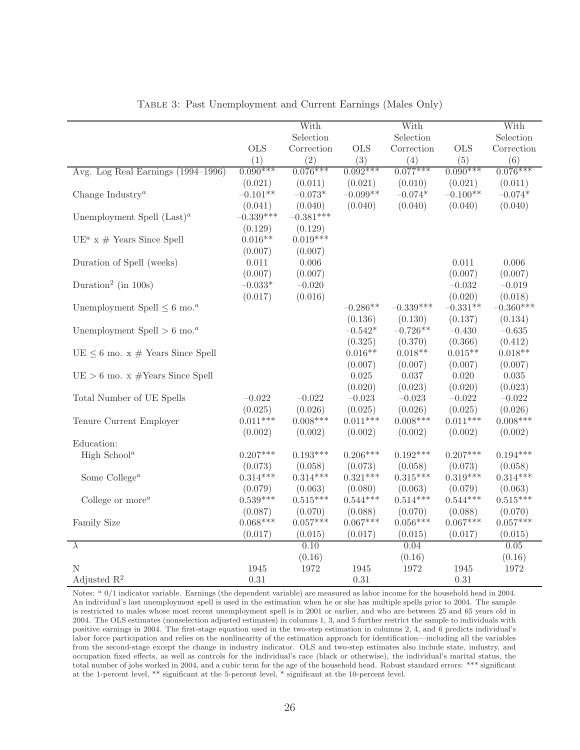<span id="page-26-0"></span>

|                                                     |             | With        |            | With        |            | With              |
|-----------------------------------------------------|-------------|-------------|------------|-------------|------------|-------------------|
|                                                     |             | Selection   |            | Selection   |            | Selection         |
|                                                     | <b>OLS</b>  | Correction  | <b>OLS</b> | Correction  | <b>OLS</b> | Correction        |
|                                                     | (1)         | (2)         | (3)        | (4)         | (5)        | (6)               |
| Avg. Log Real Earnings (1994–1996)                  | $0.090***$  | $0.076***$  | $0.092***$ | $0.077***$  | $0.090***$ | $0.076***$        |
|                                                     | (0.021)     | (0.011)     | (0.021)    | (0.010)     | (0.021)    | (0.011)           |
| Change Industry <sup><math>a</math></sup>           | $-0.101**$  | $-0.073*$   | $-0.099**$ | $-0.074*$   | $-0.100**$ | $-0.074*$         |
|                                                     | (0.041)     | (0.040)     | (0.040)    | (0.040)     | (0.040)    | (0.040)           |
| Unemployment Spell $(Last)^a$                       | $-0.339***$ | $-0.381***$ |            |             |            |                   |
|                                                     | (0.129)     | (0.129)     |            |             |            |                   |
| $UE^{a}$ x # Years Since Spell                      | $0.016**$   | $0.019***$  |            |             |            |                   |
|                                                     | (0.007)     | (0.007)     |            |             |            |                   |
| Duration of Spell (weeks)                           | 0.011       | 0.006       |            |             | 0.011      | 0.006             |
|                                                     | (0.007)     | (0.007)     |            |             | (0.007)    | (0.007)           |
| Duration <sup>2</sup> (in 100s)                     | $-0.033*$   | $-0.020$    |            |             | $-0.032$   | $-0.019$          |
|                                                     | (0.017)     | (0.016)     |            |             | (0.020)    | (0.018)           |
| Unemployment Spell $\leq 6$ mo. <sup><i>a</i></sup> |             |             | $-0.286**$ | $-0.339***$ | $-0.331**$ | $-0.360***$       |
|                                                     |             |             | (0.136)    | (0.130)     | (0.137)    | (0.134)           |
| Unemployment Spell $> 6$ mo. <sup><i>a</i></sup>    |             |             | $-0.542*$  | $-0.726**$  | $-0.430$   | $-0.635$          |
|                                                     |             |             | (0.325)    | (0.370)     | (0.366)    | (0.412)           |
| $UE \leq 6$ mo. x # Years Since Spell               |             |             | $0.016**$  | $0.018**$   | $0.015**$  | $0.018**$         |
|                                                     |             |             | (0.007)    | (0.007)     | (0.007)    | (0.007)           |
| $UE > 6$ mo. x #Years Since Spell                   |             |             | 0.025      | 0.037       | 0.020      | 0.035             |
|                                                     |             |             | (0.020)    | (0.023)     | (0.020)    | (0.023)           |
| Total Number of UE Spells                           | $-0.022$    | $-0.022$    | $-0.023$   | $-0.023$    | $-0.022$   | $-0.022$          |
|                                                     | (0.025)     | (0.026)     | (0.025)    | (0.026)     | (0.025)    | (0.026)           |
| Tenure Current Employer                             | $0.011***$  | $0.008***$  | $0.011***$ | $0.008***$  | $0.011***$ | $0.008***$        |
|                                                     | (0.002)     | (0.002)     | (0.002)    | (0.002)     | (0.002)    | (0.002)           |
| Education:                                          |             |             |            |             |            |                   |
| High School <sup><math>a</math></sup>               | $0.207***$  | $0.193***$  | $0.206***$ | $0.192***$  | $0.207***$ | $0.194***$        |
|                                                     | (0.073)     | (0.058)     | (0.073)    | (0.058)     | (0.073)    | (0.058)           |
| Some $\mathbf{College}^a$                           | $0.314***$  | $0.314***$  | $0.321***$ | $0.315***$  | $0.319***$ | $0.314***$        |
|                                                     | (0.079)     | (0.063)     | (0.080)    | (0.063)     | (0.079)    | (0.063)           |
| College or more $^a$                                | $0.539***$  | $0.515***$  | $0.544***$ | $0.514***$  | $0.544***$ | $0.515***$        |
|                                                     | (0.087)     | (0.070)     | (0.088)    | (0.070)     | (0.088)    | (0.070)           |
| Family Size                                         | $0.068***$  | $0.057***$  | $0.067***$ | $0.056***$  | $0.067***$ | $0.057***$        |
|                                                     | (0.017)     | (0.015)     | (0.017)    | (0.015)     | (0.017)    | (0.015)           |
| $\overline{\lambda}$                                |             | 0.10        |            | 0.04        |            | $\overline{0.05}$ |
|                                                     |             | (0.16)      |            | (0.16)      |            | (0.16)            |
| $\mathbf N$                                         | 1945        | 1972        | 1945       | 1972        | 1945       | 1972              |
| Adjusted $\mathbb{R}^2$                             | 0.31        |             | $0.31\,$   |             | $0.31\,$   |                   |

Table 3: Past Unemployment and Current Earnings (Males Only)

Notes: <sup>a</sup> 0/1 indicator variable. Earnings (the dependent variable) are measured as labor income for the household head in 2004. An individual's last unemployment spell is used in the estimation when he or she has multiple spells prior to 2004. The sample is restricted to males whose most recent unemployment spell is in 2001 or earlier, and who are between 25 and 65 years old in 2004. The OLS estimates (nonselection adjusted estimates) in columns 1, 3, and 5 further restrict the sample to individuals with positive earnings in 2004. The first-stage equation used in the two-step estimation in columns 2, 4, and 6 predicts individual's labor force participation and relies on the nonlinearity of the estimation approach for identification—including all the variables from the second-stage except the change in industry indicator. OLS and two-step estimates also include state, industry, and occupation fixed effects, as well as controls for the individual's race (black or otherwise), the individual's marital status, the total number of jobs worked in 2004, and a cubic term for the age of the household head. Robust standard errors: \*\*\* significant at the 1-percent level, \*\* significant at the 5-percent level, \* significant at the 10-percent level.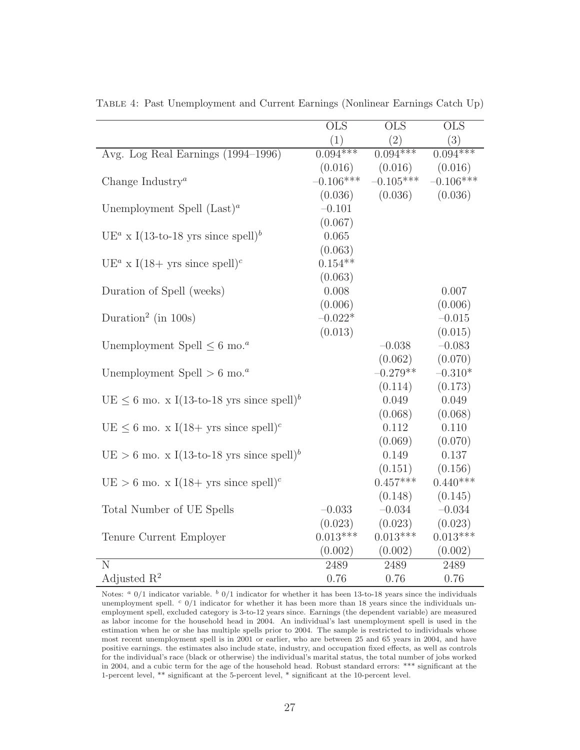|                                                                     | $\overline{\text{OLS}}$ | $\overline{\mathrm{OLS}}$ | $\overline{\text{OLS}}$ |
|---------------------------------------------------------------------|-------------------------|---------------------------|-------------------------|
|                                                                     | (1)                     | (2)                       | (3)                     |
| Avg. Log Real Earnings (1994–1996)                                  | $0.094***$              | $0.094***$                | $0.094***$              |
|                                                                     | (0.016)                 | (0.016)                   | (0.016)                 |
| Change Industry <sup><math>a</math></sup>                           | $-0.106***$             | $-0.105***$               | $-0.106***$             |
|                                                                     | (0.036)                 | (0.036)                   | (0.036)                 |
| Unemployment Spell $(Last)^a$                                       | $-0.101$                |                           |                         |
|                                                                     | (0.067)                 |                           |                         |
| $UE^a$ x I(13-to-18 yrs since spell) <sup>b</sup>                   | 0.065                   |                           |                         |
|                                                                     | (0.063)                 |                           |                         |
| UE <sup><i>a</i></sup> x I(18+ yrs since spell) <sup><i>c</i></sup> | $0.154**$               |                           |                         |
|                                                                     | (0.063)                 |                           |                         |
| Duration of Spell (weeks)                                           | 0.008                   |                           | 0.007                   |
|                                                                     | (0.006)                 |                           | (0.006)                 |
| Duration <sup>2</sup> (in 100s)                                     | $-0.022*$               |                           | $-0.015$                |
|                                                                     | (0.013)                 |                           | (0.015)                 |
| Unemployment Spell $\leq 6$ mo. <sup><i>a</i></sup>                 |                         | $-0.038$                  | $-0.083$                |
|                                                                     |                         | (0.062)                   | (0.070)                 |
| Unemployment Spell $> 6$ mo. <sup><i>a</i></sup>                    |                         | $-0.279**$                | $-0.310*$               |
|                                                                     |                         | (0.114)                   | (0.173)                 |
| $UE \leq 6$ mo. x I(13-to-18 yrs since spell) <sup>b</sup>          |                         | 0.049                     | 0.049                   |
|                                                                     |                         | (0.068)                   | (0.068)                 |
| $UE \leq 6$ mo. x I(18+ yrs since spell) <sup>c</sup>               |                         | 0.112                     | 0.110                   |
|                                                                     |                         | (0.069)                   | (0.070)                 |
| $UE > 6$ mo. x I(13-to-18 yrs since spell) <sup>b</sup>             |                         | 0.149                     | 0.137                   |
|                                                                     |                         | (0.151)                   | (0.156)                 |
| $UE > 6$ mo. x I(18+ yrs since spell) <sup>c</sup>                  |                         | $0.457***$                | $0.440***$              |
|                                                                     |                         | (0.148)                   | (0.145)                 |
| Total Number of UE Spells                                           | $-0.033$                | $-0.034$                  | $-0.034$                |
|                                                                     | (0.023)                 | (0.023)                   | (0.023)                 |
| Tenure Current Employer                                             | $0.013***$              | $0.013***$                | $0.013***$              |
|                                                                     | (0.002)                 | (0.002)                   | (0.002)                 |
| $\overline{\rm N}$                                                  | 2489                    | 2489                      | 2489                    |
| Adjusted $\mathbb{R}^2$                                             | 0.76                    | 0.76                      | 0.76                    |

<span id="page-27-0"></span>Table 4: Past Unemployment and Current Earnings (Nonlinear Earnings Catch Up)

Notes:  $a$  0/1 indicator variable.  $b$  0/1 indicator for whether it has been 13-to-18 years since the individuals unemployment spell.  $c$  0/1 indicator for whether it has been more than 18 years since the individuals unemployment spell, excluded category is 3-to-12 years since. Earnings (the dependent variable) are measured as labor income for the household head in 2004. An individual's last unemployment spell is used in the estimation when he or she has multiple spells prior to 2004. The sample is restricted to individuals whose most recent unemployment spell is in 2001 or earlier, who are between 25 and 65 years in 2004, and have positive earnings. the estimates also include state, industry, and occupation fixed effects, as well as controls for the individual's race (black or otherwise) the individual's marital status, the total number of jobs worked in 2004, and a cubic term for the age of the household head. Robust standard errors: \*\*\* significant at the 1-percent level, \*\* significant at the 5-percent level, \* significant at the 10-percent level.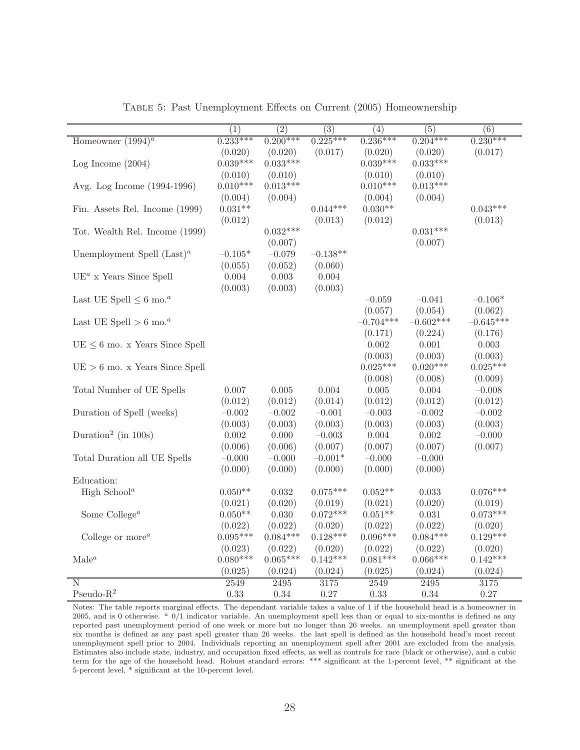<span id="page-28-0"></span>

|                                                | (1)        | $\overline{(2)}$ | $\overline{(3)}$ | (4)         | $\overline{(5)}$ | $\overline{(6)}$ |
|------------------------------------------------|------------|------------------|------------------|-------------|------------------|------------------|
| Homeowner $(1994)^{a}$                         | $0.233***$ | $0.200***$       | $0.225***$       | $0.236***$  | $0.204***$       | $0.230***$       |
|                                                | (0.020)    | (0.020)          | (0.017)          | (0.020)     | (0.020)          | (0.017)          |
| Log Income $(2004)$                            | $0.039***$ | $0.033***$       |                  | $0.039***$  | $0.033***$       |                  |
|                                                | (0.010)    | (0.010)          |                  | (0.010)     | (0.010)          |                  |
| Avg. Log Income (1994-1996)                    | $0.010***$ | $0.013***$       |                  | $0.010***$  | $0.013***$       |                  |
|                                                | (0.004)    | (0.004)          |                  | (0.004)     | (0.004)          |                  |
| Fin. Assets Rel. Income (1999)                 | $0.031**$  |                  | $0.044***$       | $0.030**$   |                  | $0.043***$       |
|                                                | (0.012)    |                  | (0.013)          | (0.012)     |                  | (0.013)          |
| Tot. Wealth Rel. Income (1999)                 |            | $0.032***$       |                  |             | $0.031***$       |                  |
|                                                |            | (0.007)          |                  |             | (0.007)          |                  |
| Unemployment Spell $(Last)^a$                  | $-0.105*$  | $-0.079$         | $-0.138**$       |             |                  |                  |
|                                                | (0.055)    | (0.052)          | (0.060)          |             |                  |                  |
| $UE^{a}$ x Years Since Spell                   | 0.004      | 0.003            | 0.004            |             |                  |                  |
|                                                | (0.003)    | (0.003)          | (0.003)          |             |                  |                  |
| Last UE Spell $\leq 6$ mo. <sup><i>a</i></sup> |            |                  |                  | $-0.059$    | $-0.041$         | $-0.106*$        |
|                                                |            |                  |                  | (0.057)     | (0.054)          | (0.062)          |
| Last UE Spell $> 6$ mo. <sup><i>a</i></sup>    |            |                  |                  | $-0.704***$ | $-0.602***$      | $-0.645***$      |
|                                                |            |                  |                  | (0.171)     | (0.224)          | (0.176)          |
| $UE \leq 6$ mo. x Years Since Spell            |            |                  |                  | 0.002       | 0.001            | 0.003            |
|                                                |            |                  |                  | (0.003)     | (0.003)          | (0.003)          |
| $UE > 6$ mo. x Years Since Spell               |            |                  |                  | $0.025***$  | $0.020***$       | $0.025***$       |
|                                                |            |                  |                  | (0.008)     | (0.008)          | (0.009)          |
| Total Number of UE Spells                      | $0.007\,$  | $0.005\,$        | $0.004\,$        | $0.005\,$   | 0.004            | $-0.008$         |
|                                                | (0.012)    | (0.012)          | (0.014)          | (0.012)     | (0.012)          | (0.012)          |
| Duration of Spell (weeks)                      | $-0.002$   | $-0.002$         | $-0.001$         | $-0.003$    | $-0.002$         | $-0.002$         |
|                                                | (0.003)    | (0.003)          | (0.003)          | (0.003)     | (0.003)          | (0.003)          |
| Duration <sup>2</sup> (in 100s)                | 0.002      | 0.000            | $-0.003$         | 0.004       | 0.002            | $-0.000$         |
|                                                | (0.006)    | (0.006)          | (0.007)          | (0.007)     | (0.007)          | (0.007)          |
| Total Duration all UE Spells                   | $-0.000$   | $-0.000$         | $-0.001*$        | $-0.000$    | $-0.000$         |                  |
|                                                | (0.000)    | (0.000)          | (0.000)          | (0.000)     | (0.000)          |                  |
| Education:                                     |            |                  |                  |             |                  |                  |
| High School <sup><math>a</math></sup>          | $0.050**$  | 0.032            | $0.075***$       | $0.052**$   | $\,0.033\,$      | $0.076***$       |
|                                                | (0.021)    | (0.020)          | (0.019)          | (0.021)     | (0.020)          | (0.019)          |
| Some College <sup><math>a</math></sup>         | $0.050**$  | $0.030\,$        | $0.072***$       | $0.051**$   | 0.031            | $0.073***$       |
|                                                | (0.022)    | (0.022)          | (0.020)          | (0.022)     | (0.022)          | (0.020)          |
| College or more $^a$                           | $0.095***$ | $0.084***$       | $0.128***$       | $0.096***$  | $0.084***$       | $0.129***$       |
|                                                | (0.023)    | (0.022)          | (0.020)          | (0.022)     | (0.022)          | (0.020)          |
| $\mathrm{Male}^a$                              | $0.080***$ | $0.065***$       | $0.142***$       | $0.081***$  | $0.066***$       | $0.142***$       |
|                                                | (0.025)    | (0.024)          | (0.024)          | (0.025)     | (0.024)          | (0.024)          |
| N                                              | 2549       | 2495             | 3175             | 2549        | 2495             | 3175             |
| Pseudo- $R^2$                                  | 0.33       | 0.34             | 0.27             | 0.33        | 0.34             | 0.27             |

Table 5: Past Unemployment Effects on Current (2005) Homeownership

Notes: The table reports marginal effects. The dependant variable takes a value of 1 if the household head is a homeowner in 2005, and is 0 otherwise.  $a$  0/1 indicator variable. An unemployment spell less than or equal to six-months is defined as any reported past unemployment period of one week or more but no longer than 26 weeks. an unemployment spell greater than six months is defined as any past spell greater than 26 weeks. the last spell is defined as the household head's most recent unemployment spell prior to 2004. Individuals reporting an unemployment spell after 2001 are excluded from the analysis. Estimates also include state, industry, and occupation fixed effects, as well as controls for race (black or otherwise), and a cubic term for the age of the household head. Robust standard errors: \*\*\* significant at the 1-percent level, \*\* significant at the 5-percent level, \* significant at the 10-percent level.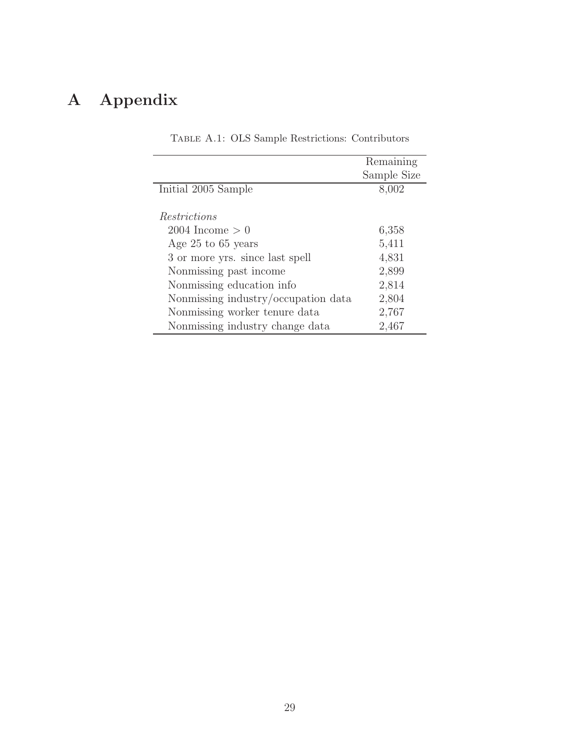## <span id="page-29-0"></span>A Appendix

|                                     | Remaining   |
|-------------------------------------|-------------|
|                                     | Sample Size |
| Initial 2005 Sample                 | 8,002       |
|                                     |             |
| <i>Restrictions</i>                 |             |
| $2004$ Income $> 0$                 | 6,358       |
| Age $25$ to 65 years                | 5,411       |
| 3 or more yrs. since last spell     | 4,831       |
| Nonmissing past income              | 2,899       |
| Nonmissing education info           | 2,814       |
| Nonmissing industry/occupation data | 2,804       |
| Nonmissing worker tenure data       | 2,767       |
| Nonmissing industry change data     | 2,467       |

Table A.1: OLS Sample Restrictions: Contributors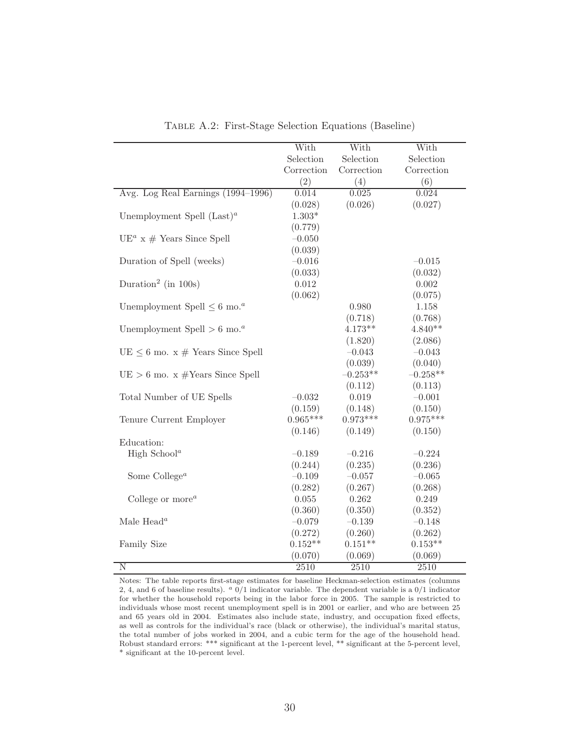<span id="page-30-0"></span>

|                                                     | With       | With              | With              |
|-----------------------------------------------------|------------|-------------------|-------------------|
|                                                     | Selection  | Selection         | Selection         |
|                                                     | Correction | Correction        | Correction        |
|                                                     | (2)        | (4)               | (6)               |
| Avg. Log Real Earnings (1994–1996)                  | 0.014      | 0.025             | 0.024             |
|                                                     | (0.028)    | (0.026)           | (0.027)           |
| Unemployment Spell $(Last)^a$                       | $1.303*$   |                   |                   |
|                                                     | (0.779)    |                   |                   |
| $UE^{a}$ x # Years Since Spell                      | $-0.050$   |                   |                   |
|                                                     | (0.039)    |                   |                   |
| Duration of Spell (weeks)                           | $-0.016$   |                   | $-0.015$          |
|                                                     | (0.033)    |                   | (0.032)           |
| Duration <sup>2</sup> (in 100s)                     | 0.012      |                   | 0.002             |
|                                                     | (0.062)    |                   | (0.075)           |
| Unemployment Spell $\leq 6$ mo. <sup><i>a</i></sup> |            | 0.980             | 1.158             |
|                                                     |            | (0.718)           | (0.768)           |
| Unemployment Spell $> 6$ mo. <sup><i>a</i></sup>    |            | $4.173**$         | $4.840**$         |
|                                                     |            | (1.820)           | (2.086)           |
| $UE \leq 6$ mo. $x \#$ Years Since Spell            |            | $-0.043$          | $-0.043$          |
|                                                     |            | (0.039)           | (0.040)           |
| $UE > 6$ mo. x #Years Since Spell                   |            | $-0.253**$        | $-0.258**$        |
|                                                     |            | (0.112)           | (0.113)           |
| Total Number of UE Spells                           | $-0.032$   | 0.019             | $-0.001$          |
|                                                     | (0.159)    | (0.148)           | (0.150)           |
| Tenure Current Employer                             | $0.965***$ | $0.973***$        | $0.975***$        |
|                                                     | (0.146)    | (0.149)           | (0.150)           |
| Education:                                          |            |                   |                   |
| High School <sup><math>a</math></sup>               | $-0.189$   | $-0.216$          | $-0.224$          |
|                                                     | (0.244)    | (0.235)           | (0.236)           |
| Some College <sup><math>a</math></sup>              | $-0.109$   | $-0.057$          | $-0.065$          |
|                                                     | (0.282)    | (0.267)           | (0.268)           |
| College or more $^a$                                | 0.055      | 0.262             | 0.249             |
|                                                     | (0.360)    | (0.350)           | (0.352)           |
| Male Head <sup><math>a</math></sup>                 | $-0.079$   | $-0.139$          | $-0.148$          |
|                                                     | (0.272)    | (0.260)           | (0.262)           |
| Family Size                                         | $0.152**$  | $0.151**$         | $0.153**$         |
|                                                     | (0.070)    | (0.069)           | (0.069)           |
| $\overline{\text{N}}$                               | 2510       | $\overline{2510}$ | $\overline{2510}$ |

Table A.2: First-Stage Selection Equations (Baseline)

Notes: The table reports first-stage estimates for baseline Heckman-selection estimates (columns 2, 4, and 6 of baseline results).  $a \frac{0}{1}$  indicator variable. The dependent variable is a  $0/1$  indicator for whether the household reports being in the labor force in 2005. The sample is restricted to individuals whose most recent unemployment spell is in 2001 or earlier, and who are between 25 and 65 years old in 2004. Estimates also include state, industry, and occupation fixed effects, as well as controls for the individual's race (black or otherwise), the individual's marital status, the total number of jobs worked in 2004, and a cubic term for the age of the household head. Robust standard errors: \*\*\* significant at the 1-percent level, \*\* significant at the 5-percent level, \* significant at the 10-percent level.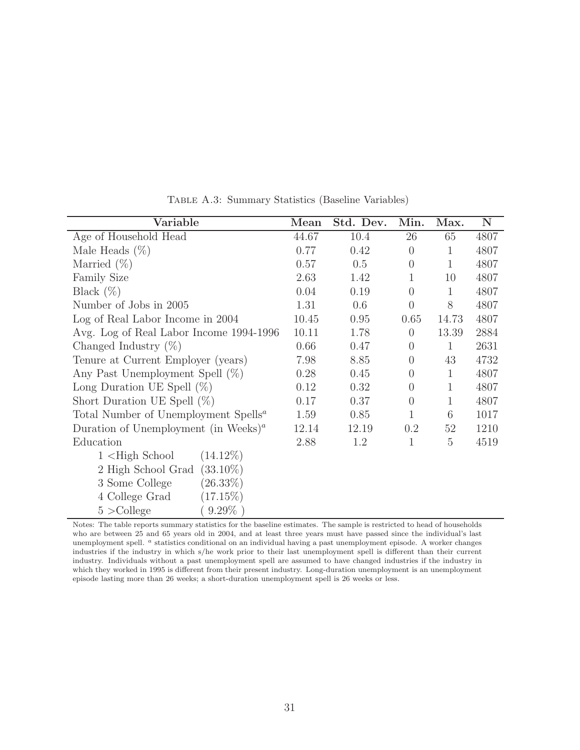| Variable                                                      | Mean  | Std. Dev. | Min.           | Max.         | $\mathbf N$ |
|---------------------------------------------------------------|-------|-----------|----------------|--------------|-------------|
| Age of Household Head                                         | 44.67 | 10.4      | 26             | 65           | 4807        |
| Male Heads $(\%)$                                             | 0.77  | 0.42      | $\overline{0}$ | $\mathbf{1}$ | 4807        |
| Married $(\%)$                                                | 0.57  | 0.5       | $\overline{0}$ | $\mathbf{1}$ | 4807        |
| <b>Family Size</b>                                            | 2.63  | 1.42      | 1              | 10           | 4807        |
| Black $(\%)$                                                  | 0.04  | 0.19      | $\overline{0}$ | $\mathbf{1}$ | 4807        |
| Number of Jobs in 2005                                        | 1.31  | 0.6       | $\overline{0}$ | 8            | 4807        |
| Log of Real Labor Income in 2004                              | 10.45 | 0.95      | 0.65           | 14.73        | 4807        |
| Avg. Log of Real Labor Income 1994-1996                       | 10.11 | 1.78      | $\overline{0}$ | 13.39        | 2884        |
| Changed Industry $(\%)$                                       | 0.66  | 0.47      | $\overline{0}$ | 1            | 2631        |
| Tenure at Current Employer (years)                            | 7.98  | 8.85      | $\overline{0}$ | 43           | 4732        |
| Any Past Unemployment Spell $(\%)$                            | 0.28  | 0.45      | $\overline{0}$ | $\mathbf{1}$ | 4807        |
| Long Duration UE Spell $(\%)$                                 | 0.12  | 0.32      | $\Omega$       | $\mathbf{1}$ | 4807        |
| Short Duration UE Spell $(\%)$                                | 0.17  | 0.37      | $\overline{0}$ | $\mathbf{1}$ | 4807        |
| Total Number of Unemployment Spells <sup>a</sup>              | 1.59  | 0.85      | $\mathbf{1}$   | 6            | 1017        |
| Duration of Unemployment (in Weeks) <sup><math>a</math></sup> | 12.14 | 12.19     | 0.2            | 52           | 1210        |
| Education                                                     | 2.88  | 1.2       | 1              | 5            | 4519        |
| $(14.12\%)$<br>$1$ $\leq$ High School                         |       |           |                |              |             |
| $(33.10\%)$<br>2 High School Grad                             |       |           |                |              |             |
| $(26.33\%)$<br>3 Some College                                 |       |           |                |              |             |
| 4 College Grad<br>$(17.15\%)$                                 |       |           |                |              |             |
| $9.29\%$<br>$5 >$ College                                     |       |           |                |              |             |

Table A.3: Summary Statistics (Baseline Variables)

Notes: The table reports summary statistics for the baseline estimates. The sample is restricted to head of households who are between 25 and 65 years old in 2004, and at least three years must have passed since the individual's last unemployment spell. <sup>a</sup> statistics conditional on an individual having a past unemployment episode. A worker changes industries if the industry in which s/he work prior to their last unemployment spell is different than their current industry. Individuals without a past unemployment spell are assumed to have changed industries if the industry in which they worked in 1995 is different from their present industry. Long-duration unemployment is an unemployment episode lasting more than 26 weeks; a short-duration unemployment spell is 26 weeks or less.